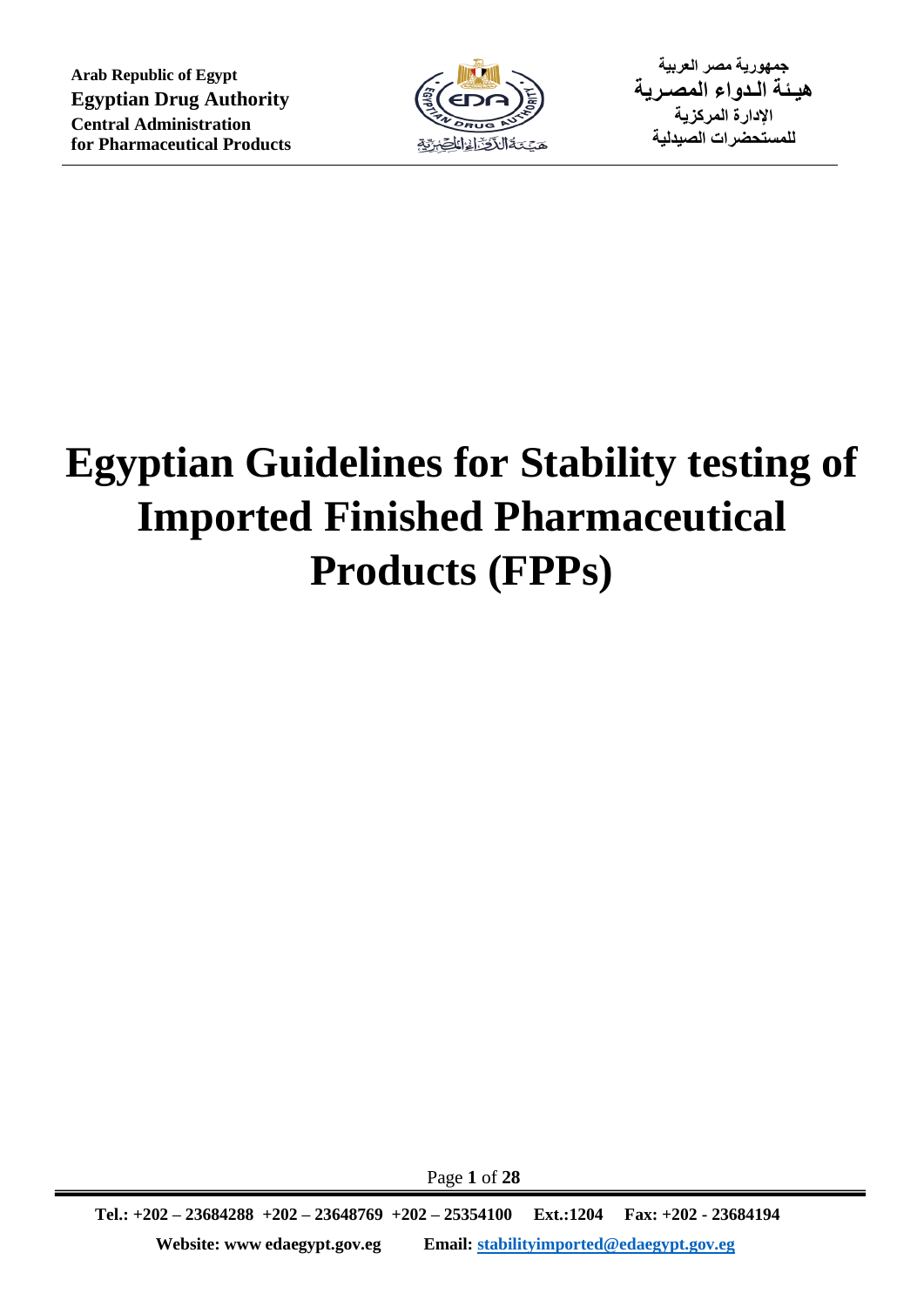

**جمهورية مصر العربية هيـئة الـدواء المصـرية اإلدارة المركزية للمستحضرات الصيدلية**

# **Egyptian Guidelines for Stability testing of Imported Finished Pharmaceutical Products (FPPs)**

Page **1** of **28**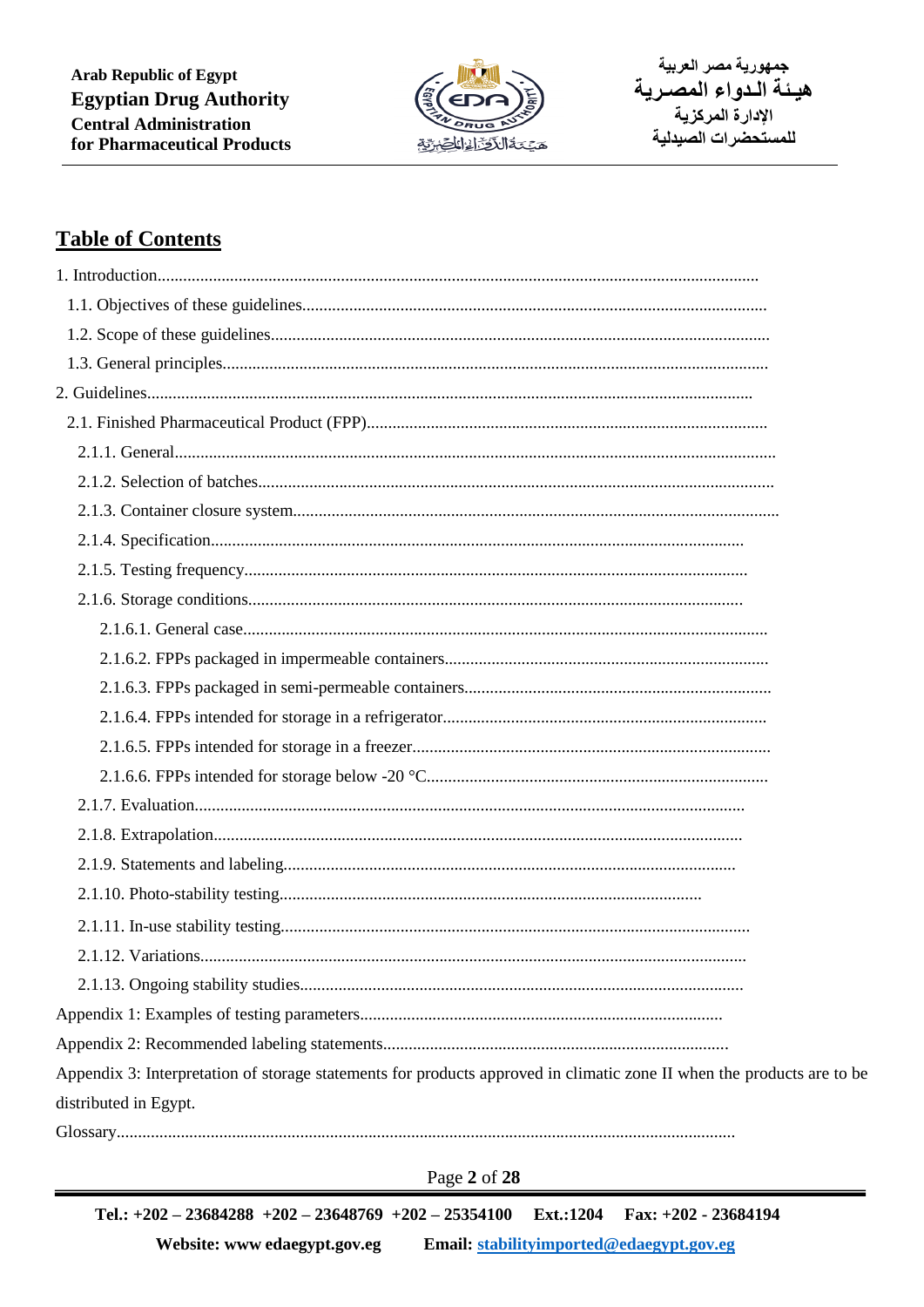

جمهورية مصر العربية هيئة الدواء المصرية الادارة المركزية للمستحضرات الصيدلية

# **Table of Contents**

| Appendix 3: Interpretation of storage statements for products approved in climatic zone II when the products are to be |
|------------------------------------------------------------------------------------------------------------------------|
| distributed in Egypt.                                                                                                  |

 $\begin{minipage}[c]{0.9\linewidth} \textbf{Glossary} \end{minipage}[c]{\label{eq:Glossary} \begin{minipage}[c]{0.9\linewidth} \textbf{Glossary} \end{minipage}[c]{\label{eq:Glossary} \begin{minipage}[c]{0.9\linewidth} \textbf{Glossary} \end{minipage}[c]{\label{eq:Glossary} \begin{minipage}[c]{0.9\linewidth} \textbf{Glossary} \end{minipage}[c]{\label{eq:Glossary} \begin{minipage}[c]{0.9\linewidth} \textbf{Glossary} \end{minipage}[c]{\label{eq:Glossary} \begin{minipage}[c]{0.9\linewidth}$ 

Page 2 of 28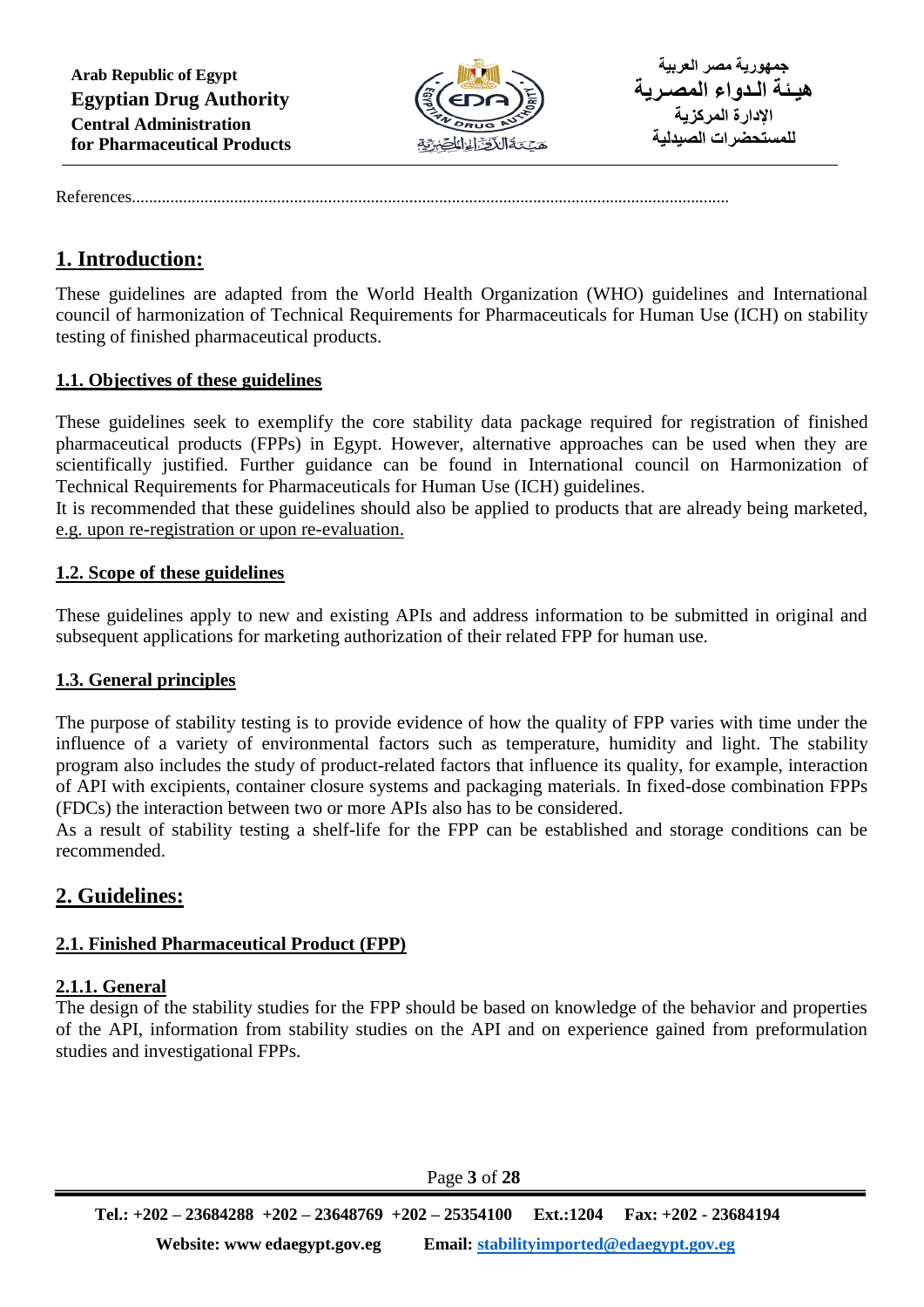

References............................................................................................................................................

# **1. Introduction:**

These guidelines are adapted from the World Health Organization (WHO) guidelines and International council of harmonization of Technical Requirements for Pharmaceuticals for Human Use (ICH) on stability testing of finished pharmaceutical products.

## **1.1. Objectives of these guidelines**

These guidelines seek to exemplify the core stability data package required for registration of finished pharmaceutical products (FPPs) in Egypt. However, alternative approaches can be used when they are scientifically justified. Further guidance can be found in International council on Harmonization of Technical Requirements for Pharmaceuticals for Human Use (ICH) guidelines.

It is recommended that these guidelines should also be applied to products that are already being marketed, e.g. upon re-registration or upon re-evaluation.

#### **1.2. Scope of these guidelines**

These guidelines apply to new and existing APIs and address information to be submitted in original and subsequent applications for marketing authorization of their related FPP for human use.

# **1.3. General principles**

The purpose of stability testing is to provide evidence of how the quality of FPP varies with time under the influence of a variety of environmental factors such as temperature, humidity and light. The stability program also includes the study of product-related factors that influence its quality, for example, interaction of API with excipients, container closure systems and packaging materials. In fixed-dose combination FPPs (FDCs) the interaction between two or more APIs also has to be considered.

As a result of stability testing a shelf-life for the FPP can be established and storage conditions can be recommended.

# **2. Guidelines:**

# **2.1. Finished Pharmaceutical Product (FPP)**

#### **2.1.1. General**

The design of the stability studies for the FPP should be based on knowledge of the behavior and properties of the API, information from stability studies on the API and on experience gained from preformulation studies and investigational FPPs.

Page **3** of **28**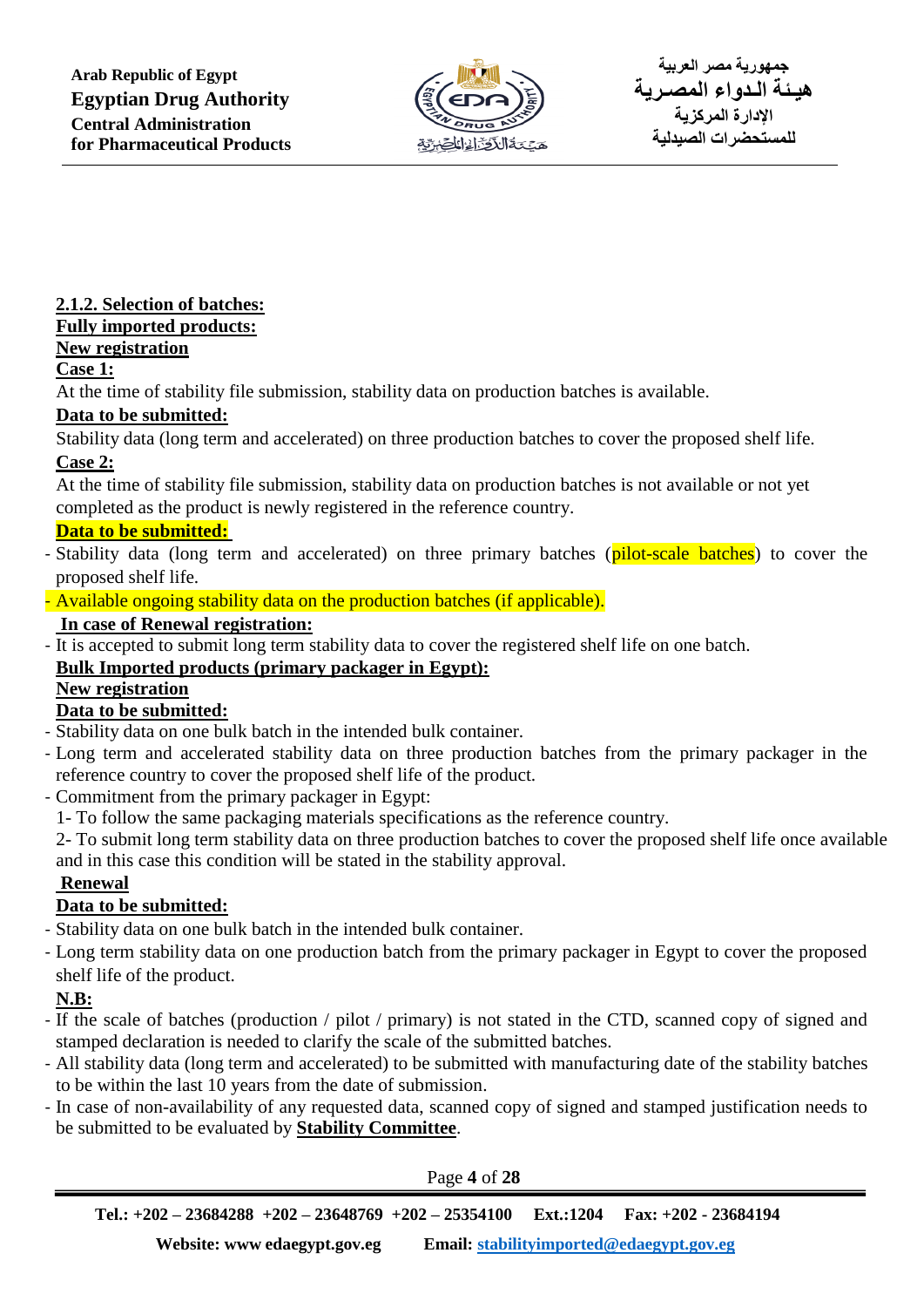

# **2.1.2. Selection of batches:**

# **Fully imported products:**

# **New registration**

# **Case 1:**

At the time of stability file submission, stability data on production batches is available.

# **Data to be submitted:**

Stability data (long term and accelerated) on three production batches to cover the proposed shelf life. **Case 2:**

At the time of stability file submission, stability data on production batches is not available or not yet completed as the product is newly registered in the reference country.

# **Data to be submitted:**

- Stability data (long term and accelerated) on three primary batches (pilot-scale batches) to cover the proposed shelf life.
- Available ongoing stability data on the production batches (if applicable).

# **In case of Renewal registration:**

- It is accepted to submit long term stability data to cover the registered shelf life on one batch.

# **Bulk Imported products (primary packager in Egypt):**

# **New registration**

# **Data to be submitted:**

- Stability data on one bulk batch in the intended bulk container.
- Long term and accelerated stability data on three production batches from the primary packager in the reference country to cover the proposed shelf life of the product.
- Commitment from the primary packager in Egypt:
	- 1- To follow the same packaging materials specifications as the reference country.

2- To submit long term stability data on three production batches to cover the proposed shelf life once available and in this case this condition will be stated in the stability approval.

# **Renewal**

# **Data to be submitted:**

- Stability data on one bulk batch in the intended bulk container.
- Long term stability data on one production batch from the primary packager in Egypt to cover the proposed shelf life of the product.

# **N.B:**

- If the scale of batches (production / pilot / primary) is not stated in the CTD, scanned copy of signed and stamped declaration is needed to clarify the scale of the submitted batches.
- All stability data (long term and accelerated) to be submitted with manufacturing date of the stability batches to be within the last 10 years from the date of submission.
- In case of non-availability of any requested data, scanned copy of signed and stamped justification needs to be submitted to be evaluated by **Stability Committee**.

Page **4** of **28**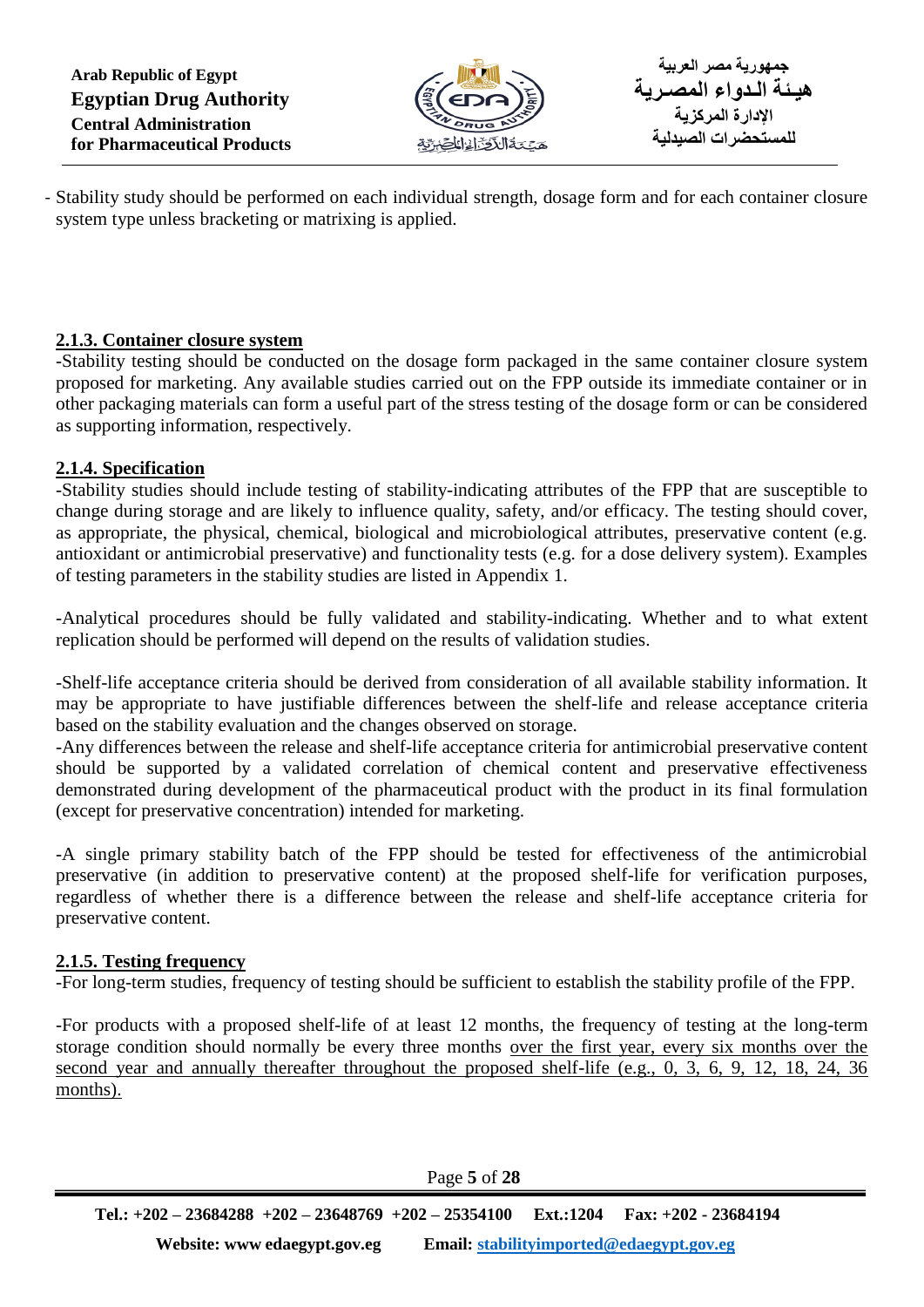**Arab Republic of Egypt Egyptian Drug Authority Central Administration for Pharmaceutical Products**



**جمهورية مصر العربية هيـئة الـدواء المصـرية اإلدارة المركزية للمستحضرات الصيدلية**

- Stability study should be performed on each individual strength, dosage form and for each container closure system type unless bracketing or matrixing is applied.

## **2.1.3. Container closure system**

-Stability testing should be conducted on the dosage form packaged in the same container closure system proposed for marketing. Any available studies carried out on the FPP outside its immediate container or in other packaging materials can form a useful part of the stress testing of the dosage form or can be considered as supporting information, respectively.

## **2.1.4. Specification**

-Stability studies should include testing of stability-indicating attributes of the FPP that are susceptible to change during storage and are likely to influence quality, safety, and/or efficacy. The testing should cover, as appropriate, the physical, chemical, biological and microbiological attributes, preservative content (e.g. antioxidant or antimicrobial preservative) and functionality tests (e.g. for a dose delivery system). Examples of testing parameters in the stability studies are listed in Appendix 1.

-Analytical procedures should be fully validated and stability-indicating. Whether and to what extent replication should be performed will depend on the results of validation studies.

-Shelf-life acceptance criteria should be derived from consideration of all available stability information. It may be appropriate to have justifiable differences between the shelf-life and release acceptance criteria based on the stability evaluation and the changes observed on storage.

-Any differences between the release and shelf-life acceptance criteria for antimicrobial preservative content should be supported by a validated correlation of chemical content and preservative effectiveness demonstrated during development of the pharmaceutical product with the product in its final formulation (except for preservative concentration) intended for marketing.

-A single primary stability batch of the FPP should be tested for effectiveness of the antimicrobial preservative (in addition to preservative content) at the proposed shelf-life for verification purposes, regardless of whether there is a difference between the release and shelf-life acceptance criteria for preservative content.

#### **2.1.5. Testing frequency**

-For long-term studies, frequency of testing should be sufficient to establish the stability profile of the FPP.

-For products with a proposed shelf-life of at least 12 months, the frequency of testing at the long-term storage condition should normally be every three months over the first year, every six months over the second year and annually thereafter throughout the proposed shelf-life (e.g., 0, 3, 6, 9, 12, 18, 24, 36 months).

Page **5** of **28**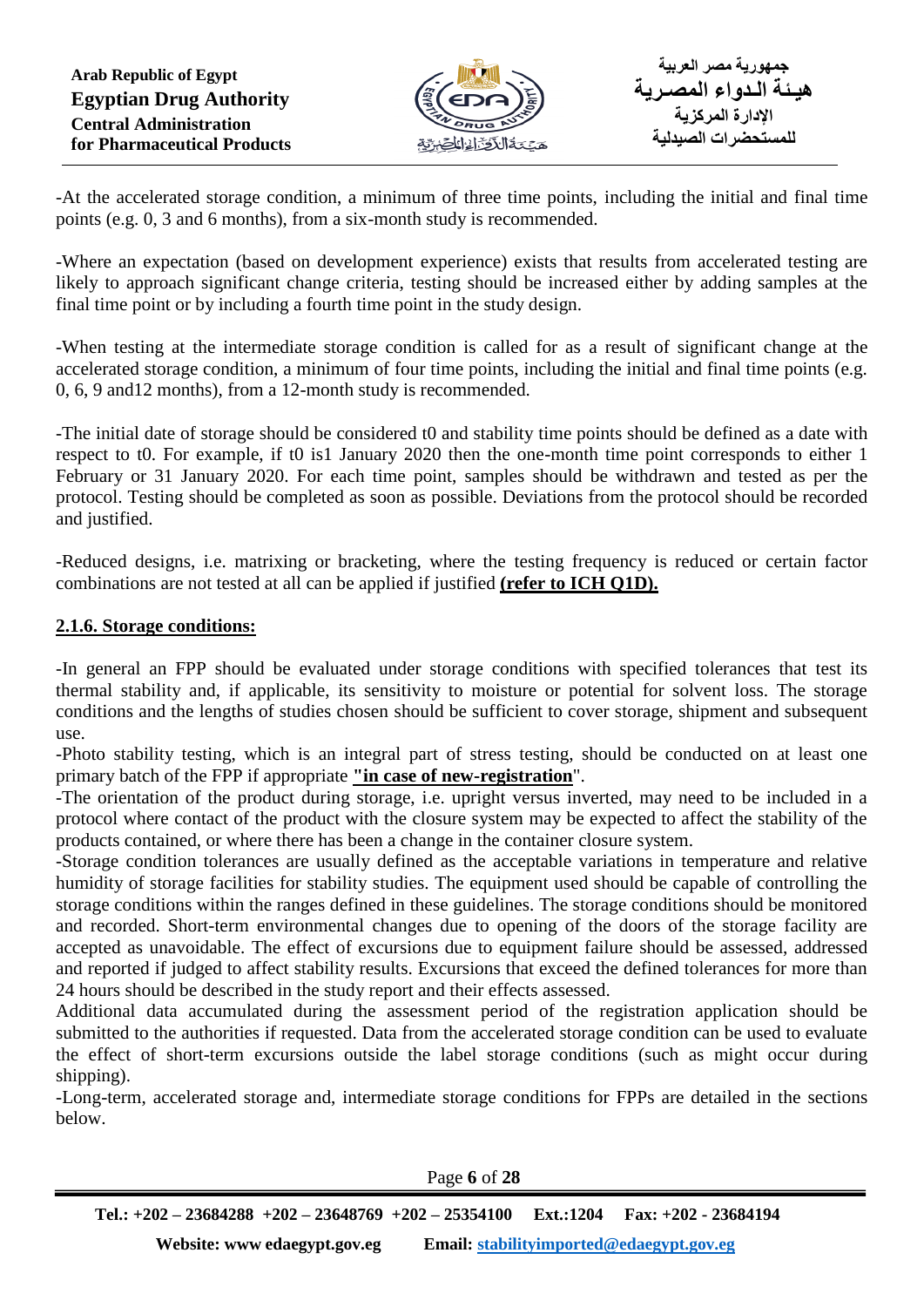

-At the accelerated storage condition, a minimum of three time points, including the initial and final time points (e.g. 0, 3 and 6 months), from a six-month study is recommended.

-Where an expectation (based on development experience) exists that results from accelerated testing are likely to approach significant change criteria, testing should be increased either by adding samples at the final time point or by including a fourth time point in the study design.

-When testing at the intermediate storage condition is called for as a result of significant change at the accelerated storage condition, a minimum of four time points, including the initial and final time points (e.g. 0, 6, 9 and12 months), from a 12-month study is recommended.

-The initial date of storage should be considered t0 and stability time points should be defined as a date with respect to t0. For example, if t0 is1 January 2020 then the one-month time point corresponds to either 1 February or 31 January 2020. For each time point, samples should be withdrawn and tested as per the protocol. Testing should be completed as soon as possible. Deviations from the protocol should be recorded and justified.

-Reduced designs, i.e. matrixing or bracketing, where the testing frequency is reduced or certain factor combinations are not tested at all can be applied if justified **(refer to ICH Q1D).**

#### **2.1.6. Storage conditions:**

-In general an FPP should be evaluated under storage conditions with specified tolerances that test its thermal stability and, if applicable, its sensitivity to moisture or potential for solvent loss. The storage conditions and the lengths of studies chosen should be sufficient to cover storage, shipment and subsequent use.

-Photo stability testing, which is an integral part of stress testing, should be conducted on at least one primary batch of the FPP if appropriate **"in case of new-registration**".

-The orientation of the product during storage, i.e. upright versus inverted, may need to be included in a protocol where contact of the product with the closure system may be expected to affect the stability of the products contained, or where there has been a change in the container closure system.

-Storage condition tolerances are usually defined as the acceptable variations in temperature and relative humidity of storage facilities for stability studies. The equipment used should be capable of controlling the storage conditions within the ranges defined in these guidelines. The storage conditions should be monitored and recorded. Short-term environmental changes due to opening of the doors of the storage facility are accepted as unavoidable. The effect of excursions due to equipment failure should be assessed, addressed and reported if judged to affect stability results. Excursions that exceed the defined tolerances for more than 24 hours should be described in the study report and their effects assessed.

Additional data accumulated during the assessment period of the registration application should be submitted to the authorities if requested. Data from the accelerated storage condition can be used to evaluate the effect of short-term excursions outside the label storage conditions (such as might occur during shipping).

-Long-term, accelerated storage and, intermediate storage conditions for FPPs are detailed in the sections below.

Page **6** of **28**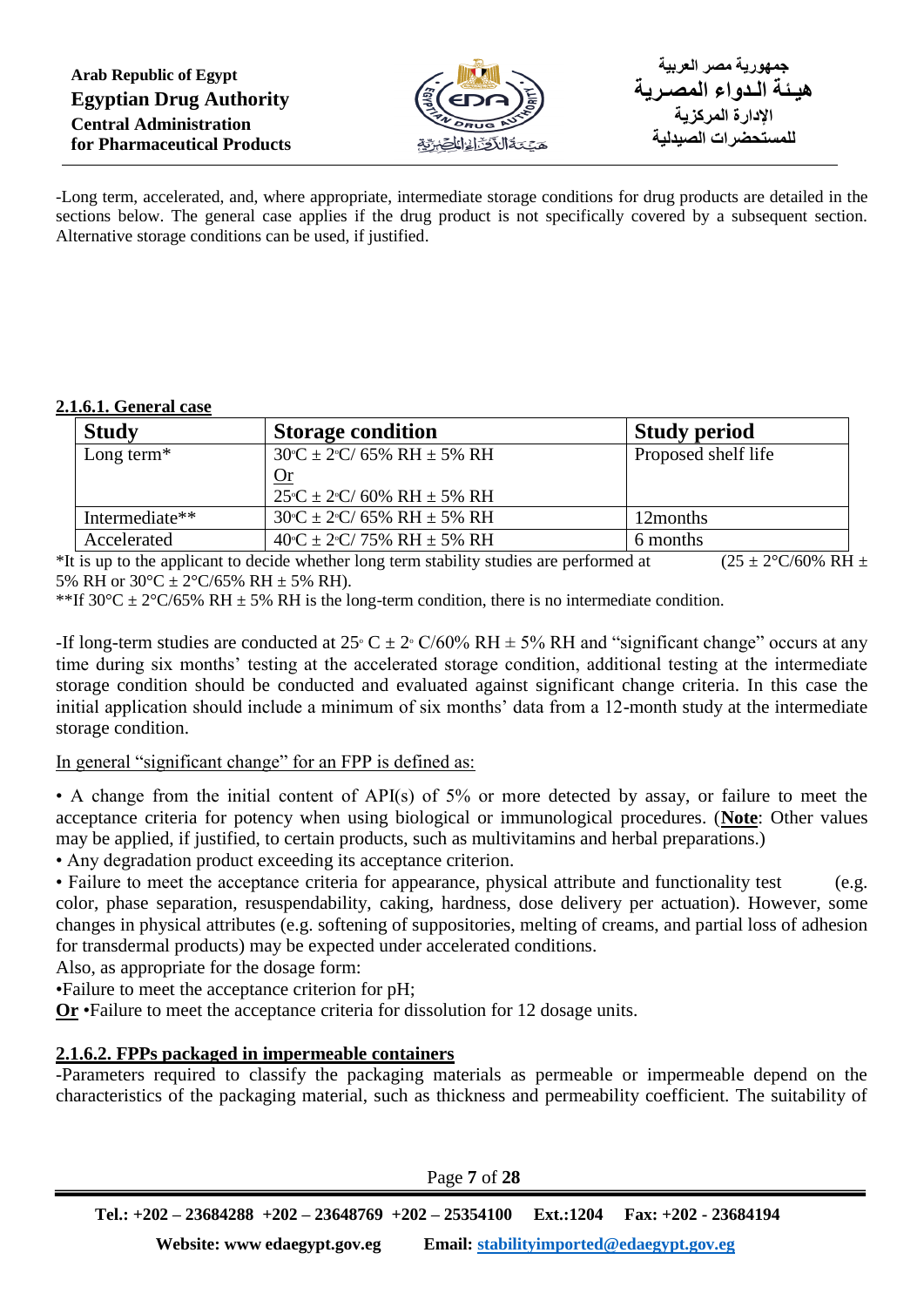

-Long term, accelerated, and, where appropriate, intermediate storage conditions for drug products are detailed in the sections below. The general case applies if the drug product is not specifically covered by a subsequent section. Alternative storage conditions can be used, if justified.

#### **2.1.6.1. General case**

| <b>Study</b>   | <b>Storage condition</b>                                        | <b>Study period</b> |
|----------------|-----------------------------------------------------------------|---------------------|
| Long term $*$  | $30^{\circ}C \pm 2^{\circ}C/65\%$ RH $\pm 5\%$ RH               | Proposed shelf life |
|                |                                                                 |                     |
|                | $25^{\circ}C \pm 2^{\circ}C/60\%$ RH $\pm$ 5% RH                |                     |
| Intermediate** | $30^{\circ}$ C ± 2 <sup>°</sup> C/ 65% RH ± 5% RH               | 12months            |
| Accelerated    | $40^{\circ}C \pm 2^{\circ}C/75\% \text{ RH} \pm 5\% \text{ RH}$ | 6 months            |

\*It is up to the applicant to decide whether long term stability studies are performed at (25 ± 2°C/60% RH  $\pm$ ) 5% RH or  $30^{\circ}$ C ±  $2^{\circ}$ C/65% RH ± 5% RH).

\*\*If  $30^{\circ}$ C  $\pm$  2°C/65% RH  $\pm$  5% RH is the long-term condition, there is no intermediate condition.

-If long-term studies are conducted at  $25\degree C \pm 2\degree C/60\% RH \pm 5\% RH$  and "significant change" occurs at any time during six months' testing at the accelerated storage condition, additional testing at the intermediate storage condition should be conducted and evaluated against significant change criteria. In this case the initial application should include a minimum of six months' data from a 12-month study at the intermediate storage condition.

In general "significant change" for an FPP is defined as:

• A change from the initial content of API(s) of 5% or more detected by assay, or failure to meet the acceptance criteria for potency when using biological or immunological procedures. (**Note**: Other values may be applied, if justified, to certain products, such as multivitamins and herbal preparations.)

• Any degradation product exceeding its acceptance criterion.

• Failure to meet the acceptance criteria for appearance, physical attribute and functionality test (e.g. color, phase separation, resuspendability, caking, hardness, dose delivery per actuation). However, some changes in physical attributes (e.g. softening of suppositories, melting of creams, and partial loss of adhesion for transdermal products) may be expected under accelerated conditions.

Also, as appropriate for the dosage form:

•Failure to meet the acceptance criterion for pH;

**Or** •Failure to meet the acceptance criteria for dissolution for 12 dosage units.

# **2.1.6.2. FPPs packaged in impermeable containers**

-Parameters required to classify the packaging materials as permeable or impermeable depend on the characteristics of the packaging material, such as thickness and permeability coefficient. The suitability of

Page **7** of **28**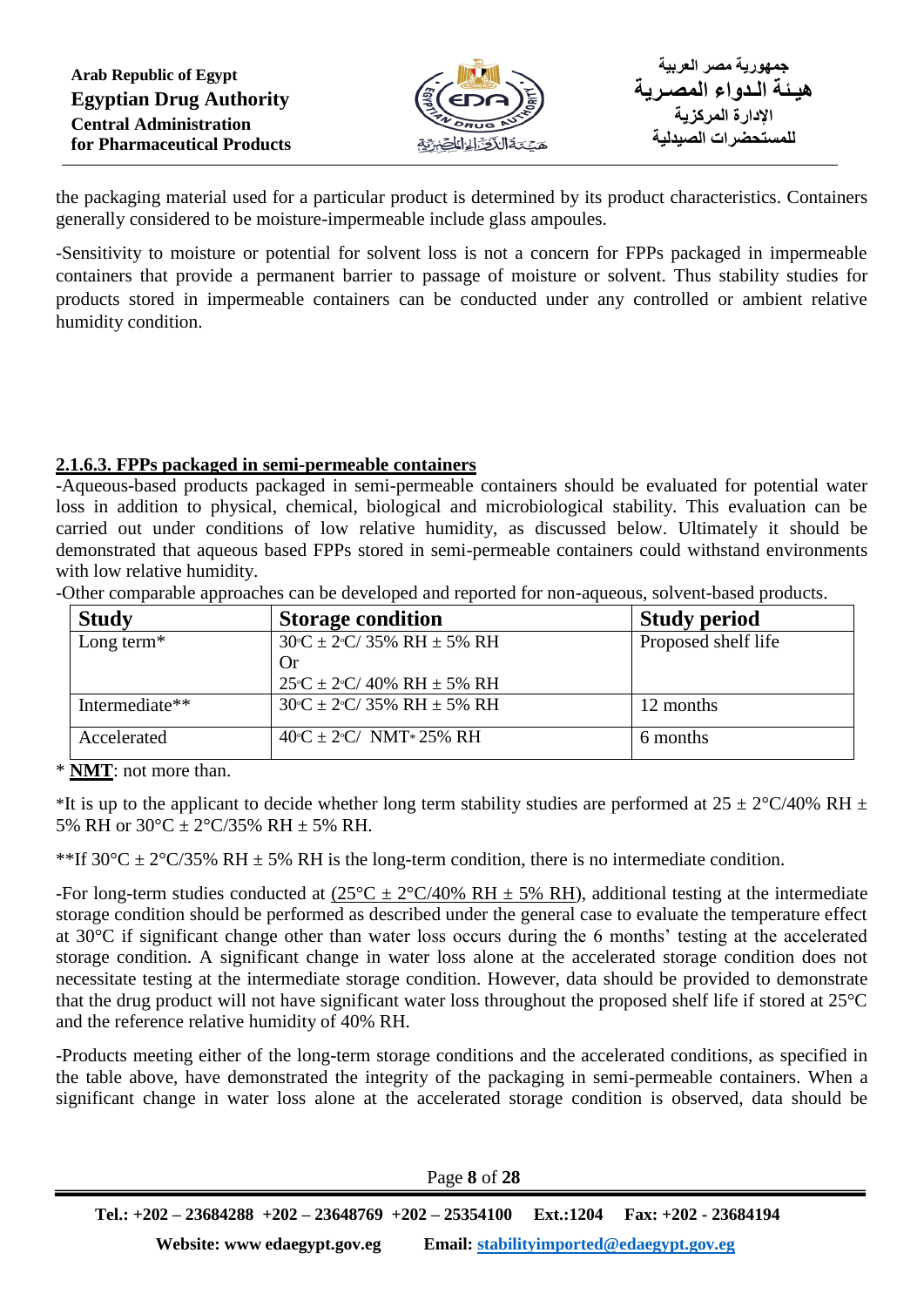

the packaging material used for a particular product is determined by its product characteristics. Containers generally considered to be moisture-impermeable include glass ampoules.

-Sensitivity to moisture or potential for solvent loss is not a concern for FPPs packaged in impermeable containers that provide a permanent barrier to passage of moisture or solvent. Thus stability studies for products stored in impermeable containers can be conducted under any controlled or ambient relative humidity condition.

## **2.1.6.3. FPPs packaged in semi-permeable containers**

-Aqueous-based products packaged in semi-permeable containers should be evaluated for potential water loss in addition to physical, chemical, biological and microbiological stability. This evaluation can be carried out under conditions of low relative humidity, as discussed below. Ultimately it should be demonstrated that aqueous based FPPs stored in semi-permeable containers could withstand environments with low relative humidity.

-Other comparable approaches can be developed and reported for non-aqueous, solvent-based products.

| <b>Study</b>   | <b>Storage condition</b>                          | <b>Study period</b> |
|----------------|---------------------------------------------------|---------------------|
| Long term $*$  | $30^{\circ}C \pm 2^{\circ}C/35\%$ RH $\pm 5\%$ RH | Proposed shelf life |
|                | Or                                                |                     |
|                | $25^{\circ}C \pm 2^{\circ}C/40\%$ RH $\pm$ 5% RH  |                     |
| Intermediate** | $30°C \pm 2°C / 35\% RH \pm 5\% RH$               | 12 months           |
| Accelerated    | $40°C \pm 2°C / NMT*25% RH$                       | 6 months            |

\* **NMT**: not more than.

\*It is up to the applicant to decide whether long term stability studies are performed at  $25 \pm 2$ °C/40% RH  $\pm$ 5% RH or  $30^{\circ}$ C ±  $2^{\circ}$ C/35% RH ± 5% RH.

\*\*If 30°C  $\pm$  2°C/35% RH  $\pm$  5% RH is the long-term condition, there is no intermediate condition.

-For long-term studies conducted at  $(25^{\circ}C \pm 2^{\circ}C/40\% \text{ RH} \pm 5\% \text{ RH})$ , additional testing at the intermediate storage condition should be performed as described under the general case to evaluate the temperature effect at 30°C if significant change other than water loss occurs during the 6 months' testing at the accelerated storage condition. A significant change in water loss alone at the accelerated storage condition does not necessitate testing at the intermediate storage condition. However, data should be provided to demonstrate that the drug product will not have significant water loss throughout the proposed shelf life if stored at 25°C and the reference relative humidity of 40% RH.

-Products meeting either of the long-term storage conditions and the accelerated conditions, as specified in the table above, have demonstrated the integrity of the packaging in semi-permeable containers. When a significant change in water loss alone at the accelerated storage condition is observed, data should be

Page **8** of **28**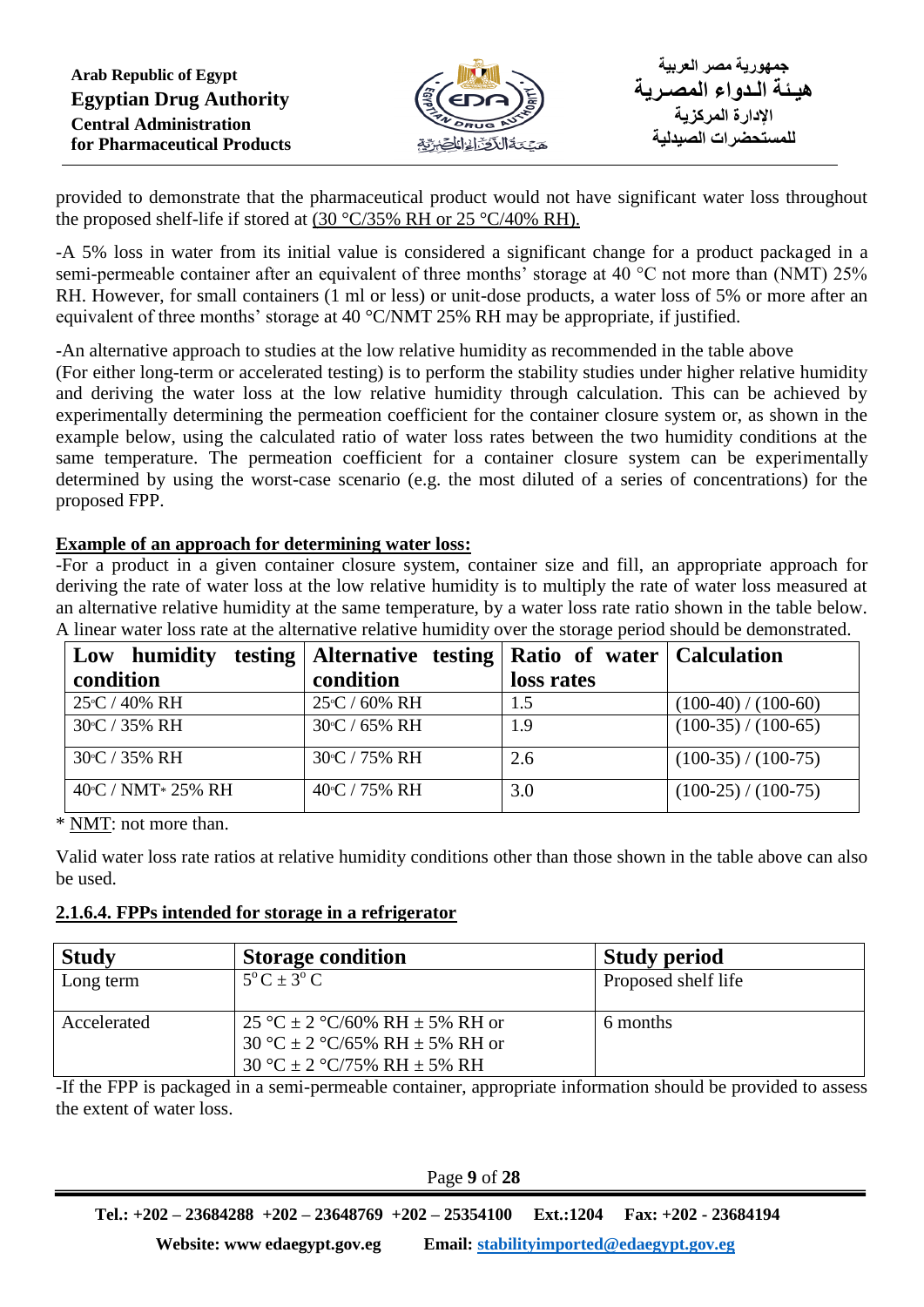

provided to demonstrate that the pharmaceutical product would not have significant water loss throughout the proposed shelf-life if stored at (30 °C/35% RH or 25 °C/40% RH).

-A 5% loss in water from its initial value is considered a significant change for a product packaged in a semi-permeable container after an equivalent of three months' storage at 40 °C not more than (NMT) 25% RH. However, for small containers (1 ml or less) or unit-dose products, a water loss of 5% or more after an equivalent of three months' storage at 40 °C/NMT 25% RH may be appropriate, if justified.

-An alternative approach to studies at the low relative humidity as recommended in the table above

(For either long-term or accelerated testing) is to perform the stability studies under higher relative humidity and deriving the water loss at the low relative humidity through calculation. This can be achieved by experimentally determining the permeation coefficient for the container closure system or, as shown in the example below, using the calculated ratio of water loss rates between the two humidity conditions at the same temperature. The permeation coefficient for a container closure system can be experimentally determined by using the worst-case scenario (e.g. the most diluted of a series of concentrations) for the proposed FPP.

## **Example of an approach for determining water loss:**

-For a product in a given container closure system, container size and fill, an appropriate approach for deriving the rate of water loss at the low relative humidity is to multiply the rate of water loss measured at an alternative relative humidity at the same temperature, by a water loss rate ratio shown in the table below. A linear water loss rate at the alternative relative humidity over the storage period should be demonstrated.

| humidity<br>Low               | testing   Alternative testing   Ratio of water   Calculation |            |                     |
|-------------------------------|--------------------------------------------------------------|------------|---------------------|
| condition                     | condition                                                    | loss rates |                     |
| 25°C / 40% RH                 | $25^{\circ}$ C / 60% RH                                      | 1.5        | $(100-40)/(100-60)$ |
| 30°C / 35% RH                 | 30°C / 65% RH                                                | 1.9        | $(100-35)/(100-65)$ |
| 30 <sup>°</sup> C / 35% RH    | 30 <sup>o</sup> C / 75% RH                                   | 2.6        | $(100-35)/(100-75)$ |
| $40^{\circ}$ C / NMT * 25% RH | $40^{\circ}$ C / 75% RH                                      | 3.0        | $(100-25)/(100-75)$ |

\* NMT: not more than.

Valid water loss rate ratios at relative humidity conditions other than those shown in the table above can also be used.

#### **2.1.6.4. FPPs intended for storage in a refrigerator**

| <b>Study</b> | <b>Storage condition</b>                                                                        | <b>Study period</b> |
|--------------|-------------------------------------------------------------------------------------------------|---------------------|
| Long term    | $5^{\circ}$ C $\pm$ 3°C                                                                         | Proposed shelf life |
| Accelerated  | 25 °C ± 2 °C/60% RH ± 5% RH or<br>30 °C ± 2 °C/65% RH ± 5% RH or<br>30 °C ± 2 °C/75% RH ± 5% RH | 6 months            |

-If the FPP is packaged in a semi-permeable container, appropriate information should be provided to assess the extent of water loss.

Page **9** of **28**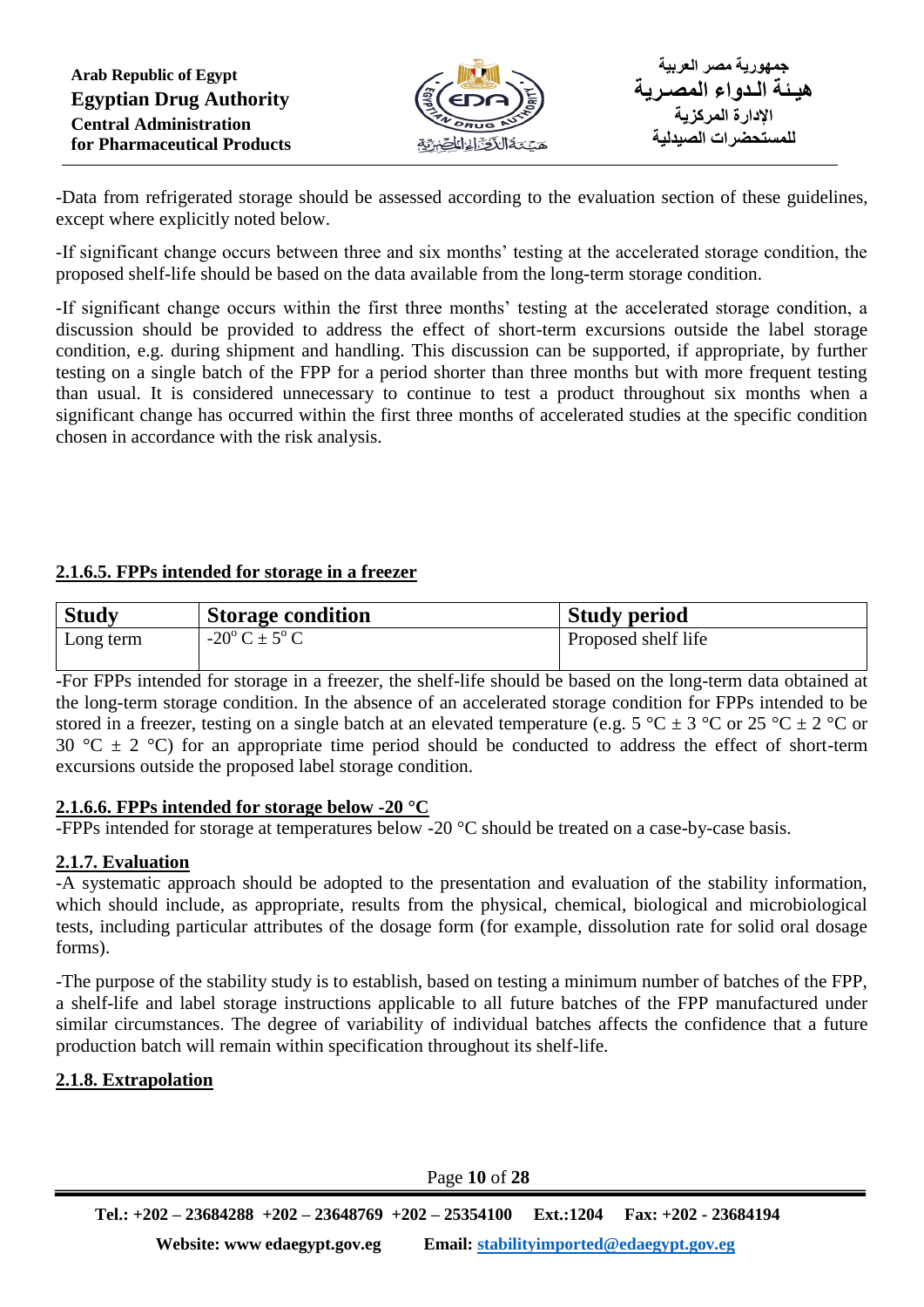

-Data from refrigerated storage should be assessed according to the evaluation section of these guidelines, except where explicitly noted below.

-If significant change occurs between three and six months' testing at the accelerated storage condition, the proposed shelf-life should be based on the data available from the long-term storage condition.

-If significant change occurs within the first three months' testing at the accelerated storage condition, a discussion should be provided to address the effect of short-term excursions outside the label storage condition, e.g. during shipment and handling. This discussion can be supported, if appropriate, by further testing on a single batch of the FPP for a period shorter than three months but with more frequent testing than usual. It is considered unnecessary to continue to test a product throughout six months when a significant change has occurred within the first three months of accelerated studies at the specific condition chosen in accordance with the risk analysis.

# **2.1.6.5. FPPs intended for storage in a freezer**

| <b>Study</b> | Storage condition          | <b>Study period</b> |
|--------------|----------------------------|---------------------|
| Long term    | $-20^{\circ}$ C $\pm$ 5° C | Proposed shelf life |

-For FPPs intended for storage in a freezer, the shelf-life should be based on the long-term data obtained at the long-term storage condition. In the absence of an accelerated storage condition for FPPs intended to be stored in a freezer, testing on a single batch at an elevated temperature (e.g.  $5^{\circ}C \pm 3^{\circ}C$  or  $25^{\circ}C \pm 2^{\circ}C$  or 30 °C  $\pm$  2 °C) for an appropriate time period should be conducted to address the effect of short-term excursions outside the proposed label storage condition.

# **2.1.6.6. FPPs intended for storage below -20 °C**

-FPPs intended for storage at temperatures below -20 °C should be treated on a case-by-case basis.

# **2.1.7. Evaluation**

-A systematic approach should be adopted to the presentation and evaluation of the stability information, which should include, as appropriate, results from the physical, chemical, biological and microbiological tests, including particular attributes of the dosage form (for example, dissolution rate for solid oral dosage forms).

-The purpose of the stability study is to establish, based on testing a minimum number of batches of the FPP, a shelf-life and label storage instructions applicable to all future batches of the FPP manufactured under similar circumstances. The degree of variability of individual batches affects the confidence that a future production batch will remain within specification throughout its shelf-life.

# **2.1.8. Extrapolation**

Page **10** of **28**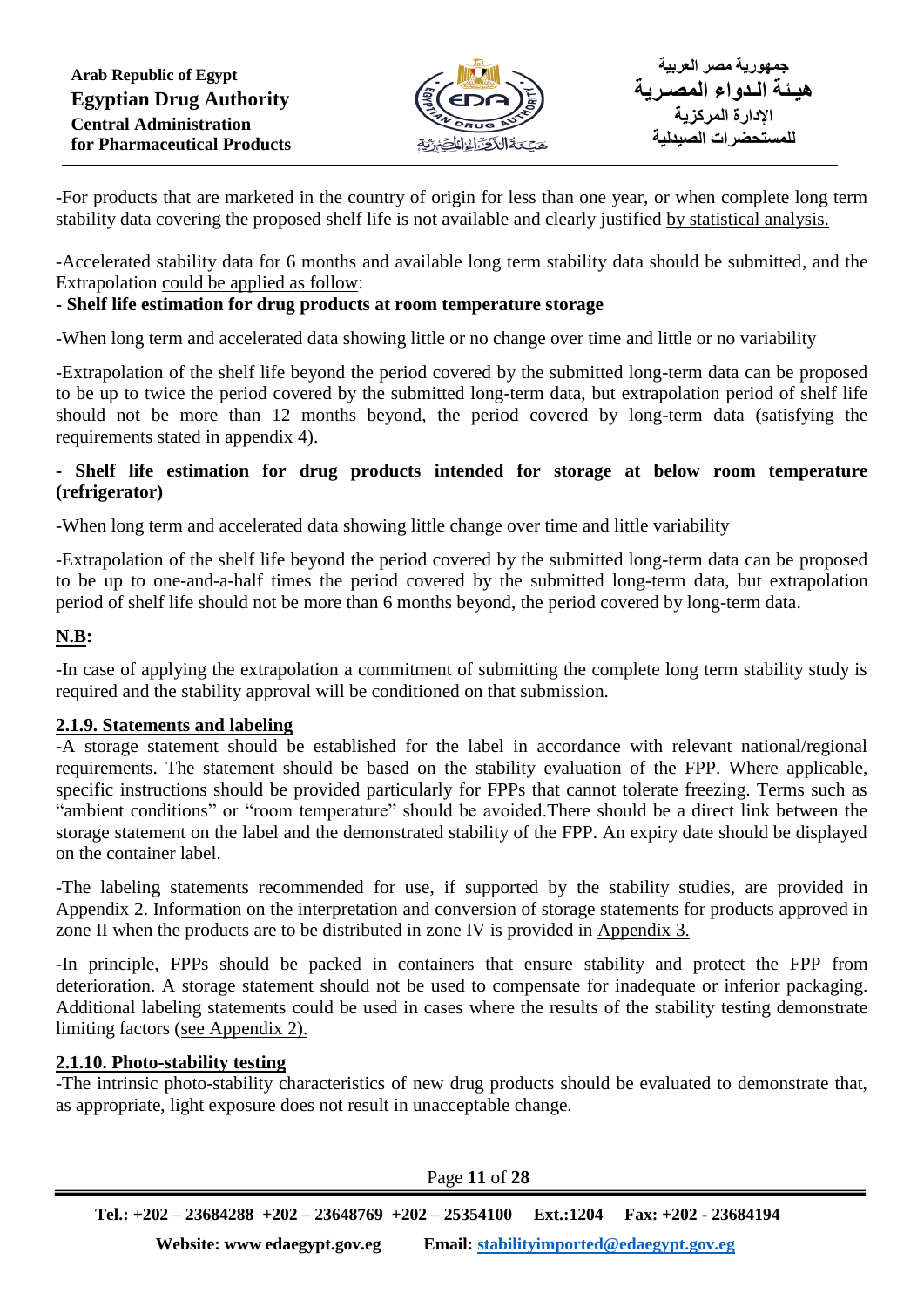

-For products that are marketed in the country of origin for less than one year, or when complete long term stability data covering the proposed shelf life is not available and clearly justified by statistical analysis.

-Accelerated stability data for 6 months and available long term stability data should be submitted, and the Extrapolation could be applied as follow:

# **- Shelf life estimation for drug products at room temperature storage**

-When long term and accelerated data showing little or no change over time and little or no variability

-Extrapolation of the shelf life beyond the period covered by the submitted long-term data can be proposed to be up to twice the period covered by the submitted long-term data, but extrapolation period of shelf life should not be more than 12 months beyond, the period covered by long-term data (satisfying the requirements stated in appendix 4).

## **- Shelf life estimation for drug products intended for storage at below room temperature (refrigerator)**

-When long term and accelerated data showing little change over time and little variability

-Extrapolation of the shelf life beyond the period covered by the submitted long-term data can be proposed to be up to one-and-a-half times the period covered by the submitted long-term data, but extrapolation period of shelf life should not be more than 6 months beyond, the period covered by long-term data.

## **N.B:**

-In case of applying the extrapolation a commitment of submitting the complete long term stability study is required and the stability approval will be conditioned on that submission.

#### **2.1.9. Statements and labeling**

-A storage statement should be established for the label in accordance with relevant national/regional requirements. The statement should be based on the stability evaluation of the FPP. Where applicable, specific instructions should be provided particularly for FPPs that cannot tolerate freezing. Terms such as "ambient conditions" or "room temperature" should be avoided.There should be a direct link between the storage statement on the label and the demonstrated stability of the FPP. An expiry date should be displayed on the container label.

-The labeling statements recommended for use, if supported by the stability studies, are provided in Appendix 2. Information on the interpretation and conversion of storage statements for products approved in zone II when the products are to be distributed in zone IV is provided in Appendix 3.

-In principle, FPPs should be packed in containers that ensure stability and protect the FPP from deterioration. A storage statement should not be used to compensate for inadequate or inferior packaging. Additional labeling statements could be used in cases where the results of the stability testing demonstrate limiting factors (see Appendix 2).

#### **2.1.10. Photo-stability testing**

-The intrinsic photo-stability characteristics of new drug products should be evaluated to demonstrate that, as appropriate, light exposure does not result in unacceptable change.

Page **11** of **28**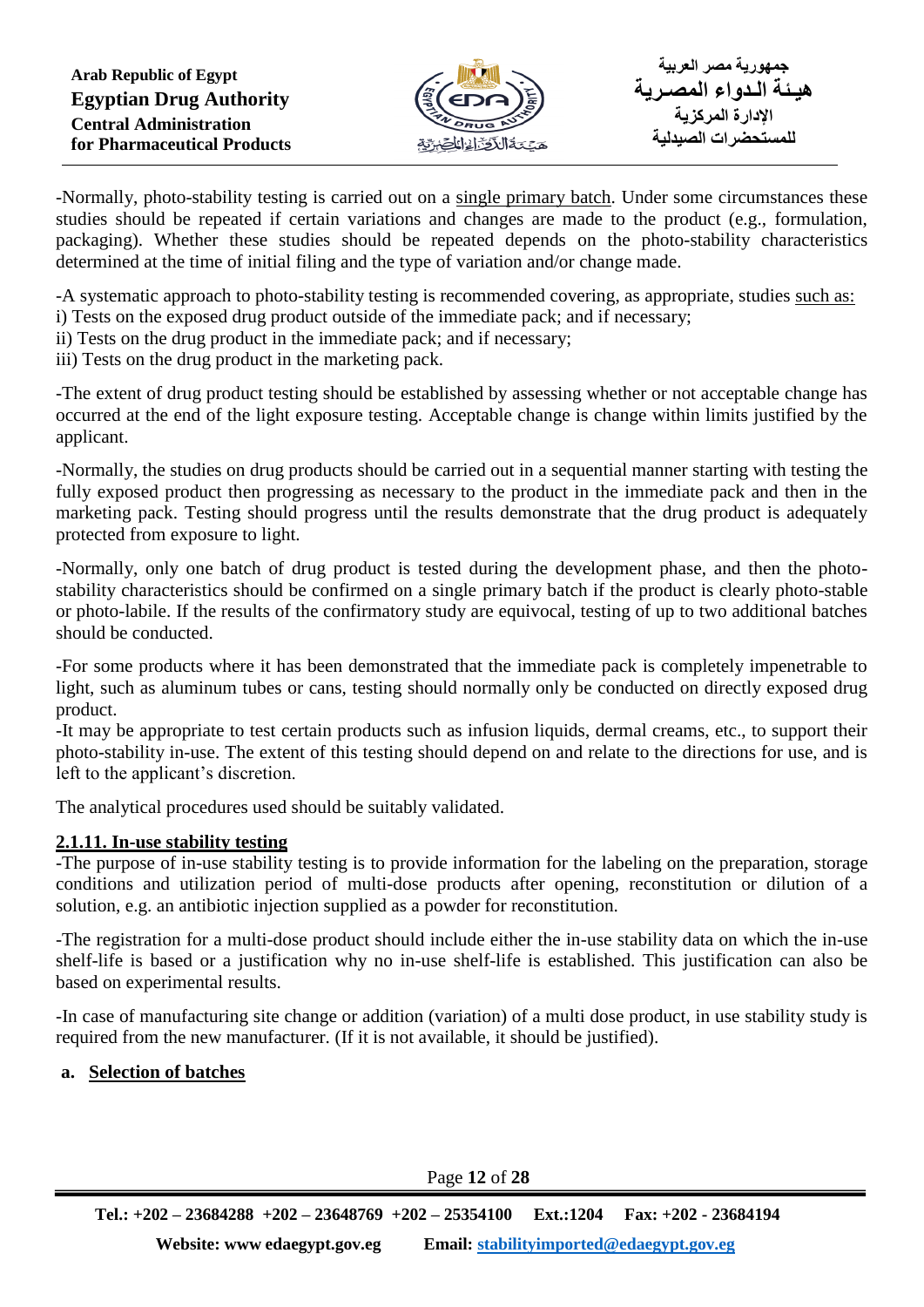

-Normally, photo-stability testing is carried out on a single primary batch. Under some circumstances these studies should be repeated if certain variations and changes are made to the product (e.g., formulation, packaging). Whether these studies should be repeated depends on the photo-stability characteristics determined at the time of initial filing and the type of variation and/or change made.

-A systematic approach to photo-stability testing is recommended covering, as appropriate, studies such as: i) Tests on the exposed drug product outside of the immediate pack; and if necessary;

- ii) Tests on the drug product in the immediate pack; and if necessary;
- iii) Tests on the drug product in the marketing pack.

-The extent of drug product testing should be established by assessing whether or not acceptable change has occurred at the end of the light exposure testing. Acceptable change is change within limits justified by the applicant.

-Normally, the studies on drug products should be carried out in a sequential manner starting with testing the fully exposed product then progressing as necessary to the product in the immediate pack and then in the marketing pack. Testing should progress until the results demonstrate that the drug product is adequately protected from exposure to light.

-Normally, only one batch of drug product is tested during the development phase, and then the photostability characteristics should be confirmed on a single primary batch if the product is clearly photo-stable or photo-labile. If the results of the confirmatory study are equivocal, testing of up to two additional batches should be conducted.

-For some products where it has been demonstrated that the immediate pack is completely impenetrable to light, such as aluminum tubes or cans, testing should normally only be conducted on directly exposed drug product.

-It may be appropriate to test certain products such as infusion liquids, dermal creams, etc., to support their photo-stability in-use. The extent of this testing should depend on and relate to the directions for use, and is left to the applicant's discretion.

The analytical procedures used should be suitably validated.

# **2.1.11. In-use stability testing**

-The purpose of in-use stability testing is to provide information for the labeling on the preparation, storage conditions and utilization period of multi-dose products after opening, reconstitution or dilution of a solution, e.g. an antibiotic injection supplied as a powder for reconstitution.

-The registration for a multi-dose product should include either the in-use stability data on which the in-use shelf-life is based or a justification why no in-use shelf-life is established. This justification can also be based on experimental results.

-In case of manufacturing site change or addition (variation) of a multi dose product, in use stability study is required from the new manufacturer. (If it is not available, it should be justified).

# **a. Selection of batches**

Page **12** of **28**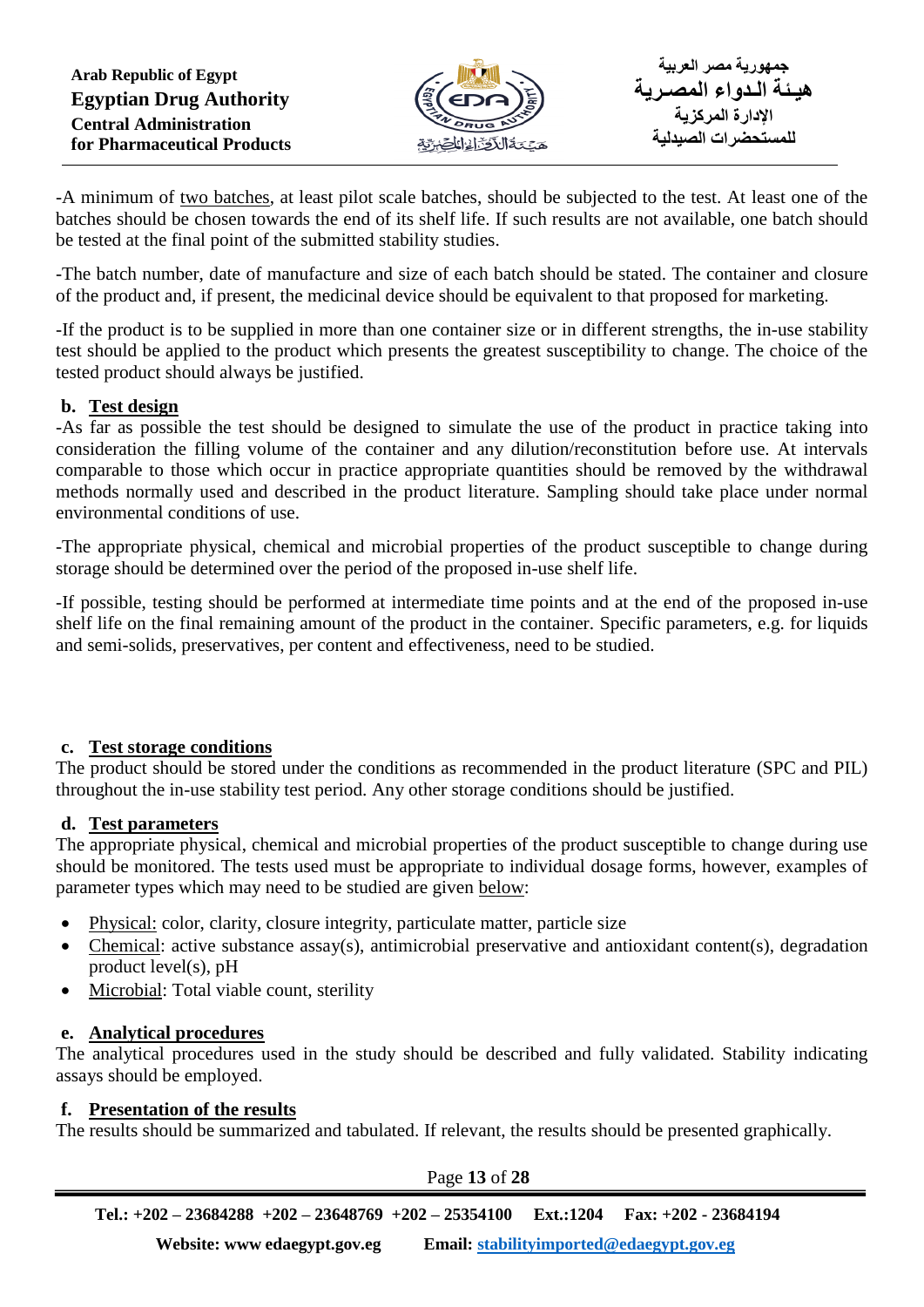

-A minimum of two batches, at least pilot scale batches, should be subjected to the test. At least one of the batches should be chosen towards the end of its shelf life. If such results are not available, one batch should be tested at the final point of the submitted stability studies.

-The batch number, date of manufacture and size of each batch should be stated. The container and closure of the product and, if present, the medicinal device should be equivalent to that proposed for marketing.

-If the product is to be supplied in more than one container size or in different strengths, the in-use stability test should be applied to the product which presents the greatest susceptibility to change. The choice of the tested product should always be justified.

## **b. Test design**

-As far as possible the test should be designed to simulate the use of the product in practice taking into consideration the filling volume of the container and any dilution/reconstitution before use. At intervals comparable to those which occur in practice appropriate quantities should be removed by the withdrawal methods normally used and described in the product literature. Sampling should take place under normal environmental conditions of use.

-The appropriate physical, chemical and microbial properties of the product susceptible to change during storage should be determined over the period of the proposed in-use shelf life.

-If possible, testing should be performed at intermediate time points and at the end of the proposed in-use shelf life on the final remaining amount of the product in the container. Specific parameters, e.g. for liquids and semi-solids, preservatives, per content and effectiveness, need to be studied.

#### **c. Test storage conditions**

The product should be stored under the conditions as recommended in the product literature (SPC and PIL) throughout the in-use stability test period. Any other storage conditions should be justified.

#### **d. Test parameters**

The appropriate physical, chemical and microbial properties of the product susceptible to change during use should be monitored. The tests used must be appropriate to individual dosage forms, however, examples of parameter types which may need to be studied are given below:

- Physical: color, clarity, closure integrity, particulate matter, particle size
- Chemical: active substance assay(s), antimicrobial preservative and antioxidant content(s), degradation product level(s), pH
- Microbial: Total viable count, sterility

# **e. Analytical procedures**

The analytical procedures used in the study should be described and fully validated. Stability indicating assays should be employed.

#### **f. Presentation of the results**

The results should be summarized and tabulated. If relevant, the results should be presented graphically.

Page **13** of **28**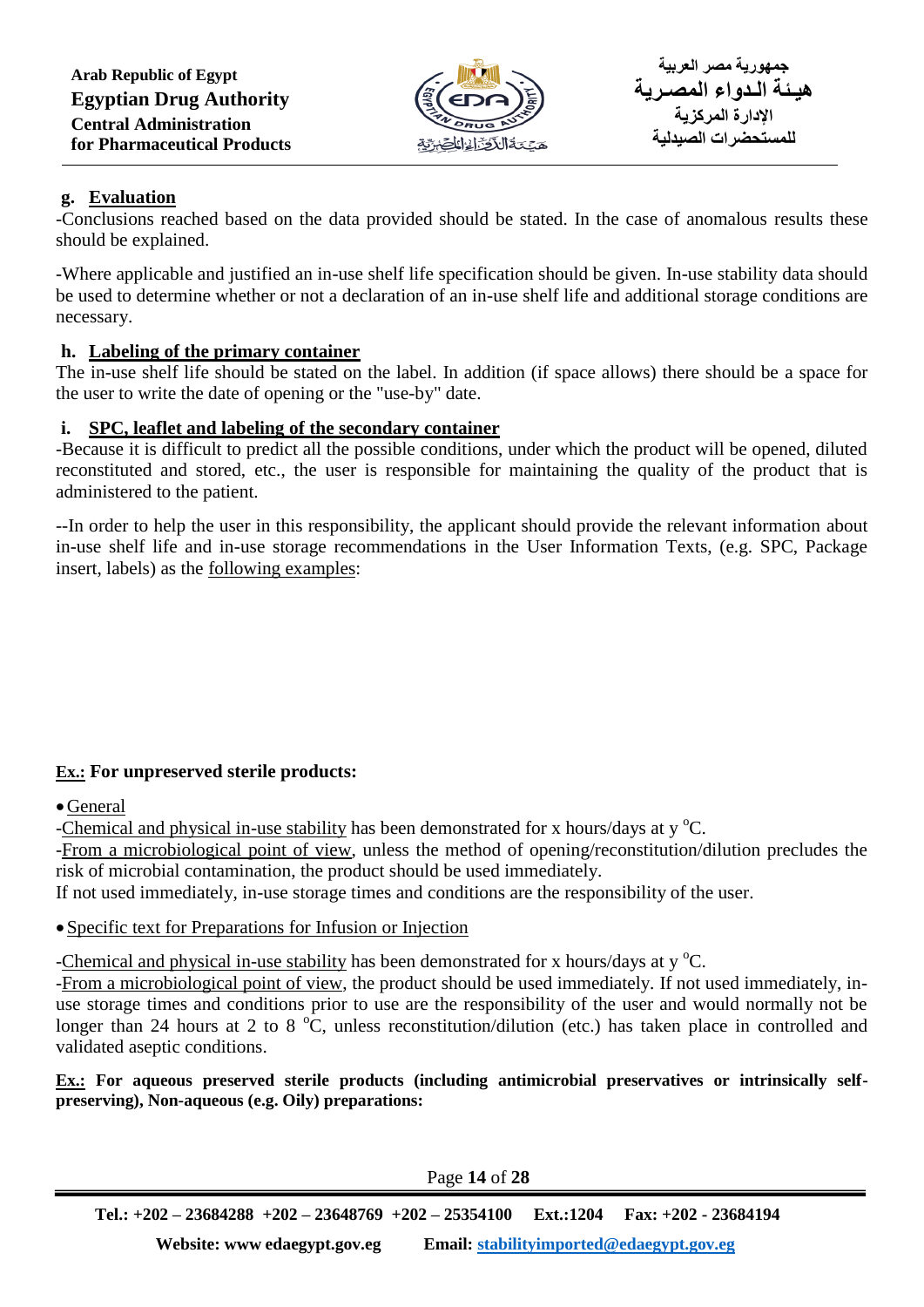

## **g. Evaluation**

-Conclusions reached based on the data provided should be stated. In the case of anomalous results these should be explained.

-Where applicable and justified an in-use shelf life specification should be given. In-use stability data should be used to determine whether or not a declaration of an in-use shelf life and additional storage conditions are necessary.

## **h. Labeling of the primary container**

The in-use shelf life should be stated on the label. In addition (if space allows) there should be a space for the user to write the date of opening or the "use-by" date.

## **i. SPC, leaflet and labeling of the secondary container**

-Because it is difficult to predict all the possible conditions, under which the product will be opened, diluted reconstituted and stored, etc., the user is responsible for maintaining the quality of the product that is administered to the patient.

--In order to help the user in this responsibility, the applicant should provide the relevant information about in-use shelf life and in-use storage recommendations in the User Information Texts, (e.g. SPC, Package insert, labels) as the following examples:

# **Ex.: For unpreserved sterile products:**

General

-Chemical and physical in-use stability has been demonstrated for x hours/days at  $v^{\circ}C$ .

-From a microbiological point of view, unless the method of opening/reconstitution/dilution precludes the risk of microbial contamination, the product should be used immediately.

If not used immediately, in-use storage times and conditions are the responsibility of the user.

#### Specific text for Preparations for Infusion or Injection

-Chemical and physical in-use stability has been demonstrated for x hours/days at  $v^{\circ}C$ .

-From a microbiological point of view, the product should be used immediately. If not used immediately, inuse storage times and conditions prior to use are the responsibility of the user and would normally not be longer than 24 hours at 2 to 8  $^{\circ}$ C, unless reconstitution/dilution (etc.) has taken place in controlled and validated aseptic conditions.

**Ex.: For aqueous preserved sterile products (including antimicrobial preservatives or intrinsically selfpreserving), Non-aqueous (e.g. Oily) preparations:**

Page **14** of **28**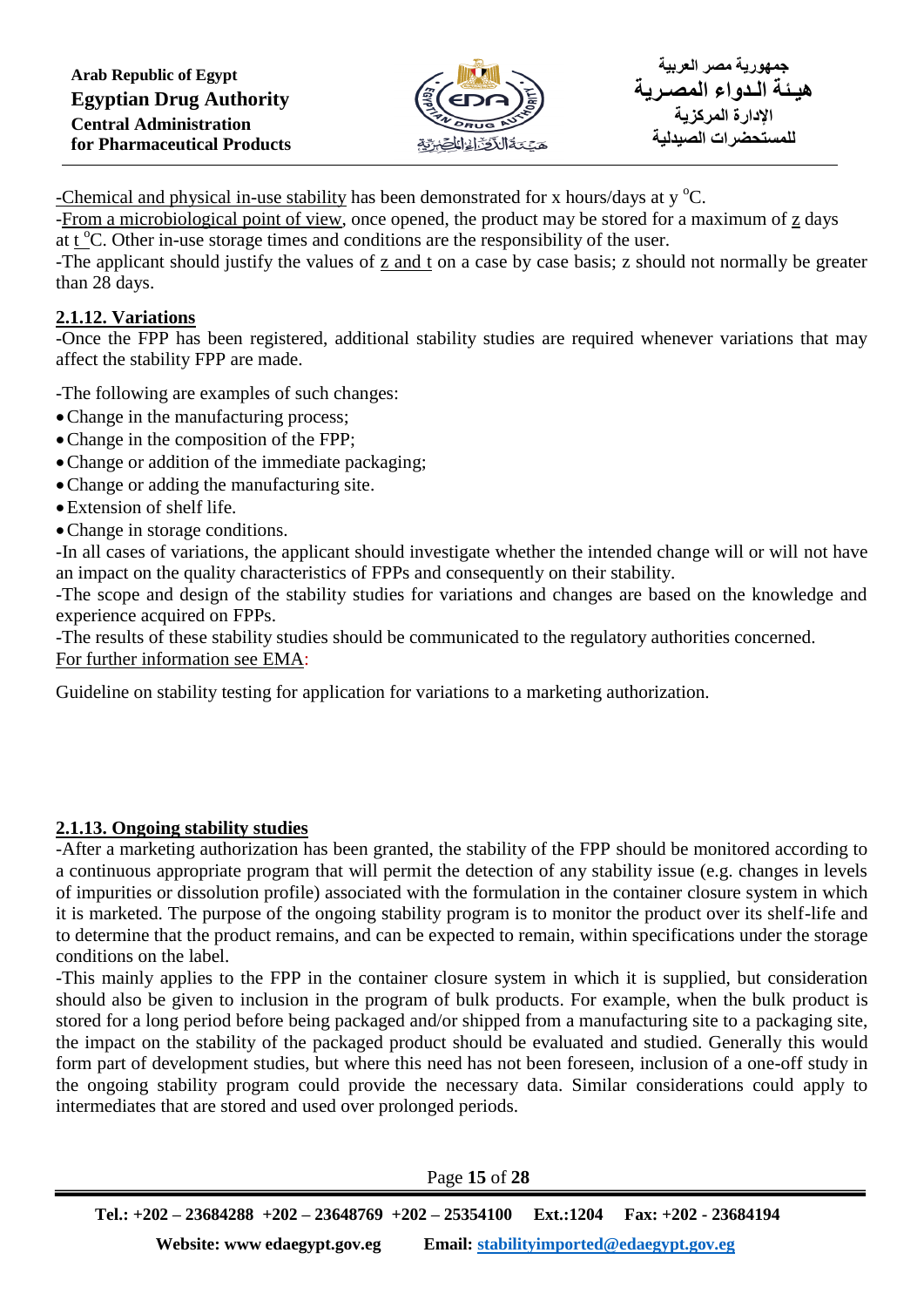

-Chemical and physical in-use stability has been demonstrated for x hours/days at  $v^{\circ}C$ .

-From a microbiological point of view, once opened, the product may be stored for a maximum of z days at  $t^{\circ}$ C. Other in-use storage times and conditions are the responsibility of the user.

-The applicant should justify the values of z and t on a case by case basis; z should not normally be greater than 28 days.

# **2.1.12. Variations**

-Once the FPP has been registered, additional stability studies are required whenever variations that may affect the stability FPP are made.

-The following are examples of such changes:

- Change in the manufacturing process;
- Change in the composition of the FPP;
- Change or addition of the immediate packaging;
- Change or adding the manufacturing site.
- Extension of shelf life.
- Change in storage conditions.

-In all cases of variations, the applicant should investigate whether the intended change will or will not have an impact on the quality characteristics of FPPs and consequently on their stability.

-The scope and design of the stability studies for variations and changes are based on the knowledge and experience acquired on FPPs.

-The results of these stability studies should be communicated to the regulatory authorities concerned. For further information see EMA:

Guideline on stability testing for application for variations to a marketing authorization.

# **2.1.13. Ongoing stability studies**

-After a marketing authorization has been granted, the stability of the FPP should be monitored according to a continuous appropriate program that will permit the detection of any stability issue (e.g. changes in levels of impurities or dissolution profile) associated with the formulation in the container closure system in which it is marketed. The purpose of the ongoing stability program is to monitor the product over its shelf-life and to determine that the product remains, and can be expected to remain, within specifications under the storage conditions on the label.

-This mainly applies to the FPP in the container closure system in which it is supplied, but consideration should also be given to inclusion in the program of bulk products. For example, when the bulk product is stored for a long period before being packaged and/or shipped from a manufacturing site to a packaging site, the impact on the stability of the packaged product should be evaluated and studied. Generally this would form part of development studies, but where this need has not been foreseen, inclusion of a one-off study in the ongoing stability program could provide the necessary data. Similar considerations could apply to intermediates that are stored and used over prolonged periods.

Page **15** of **28**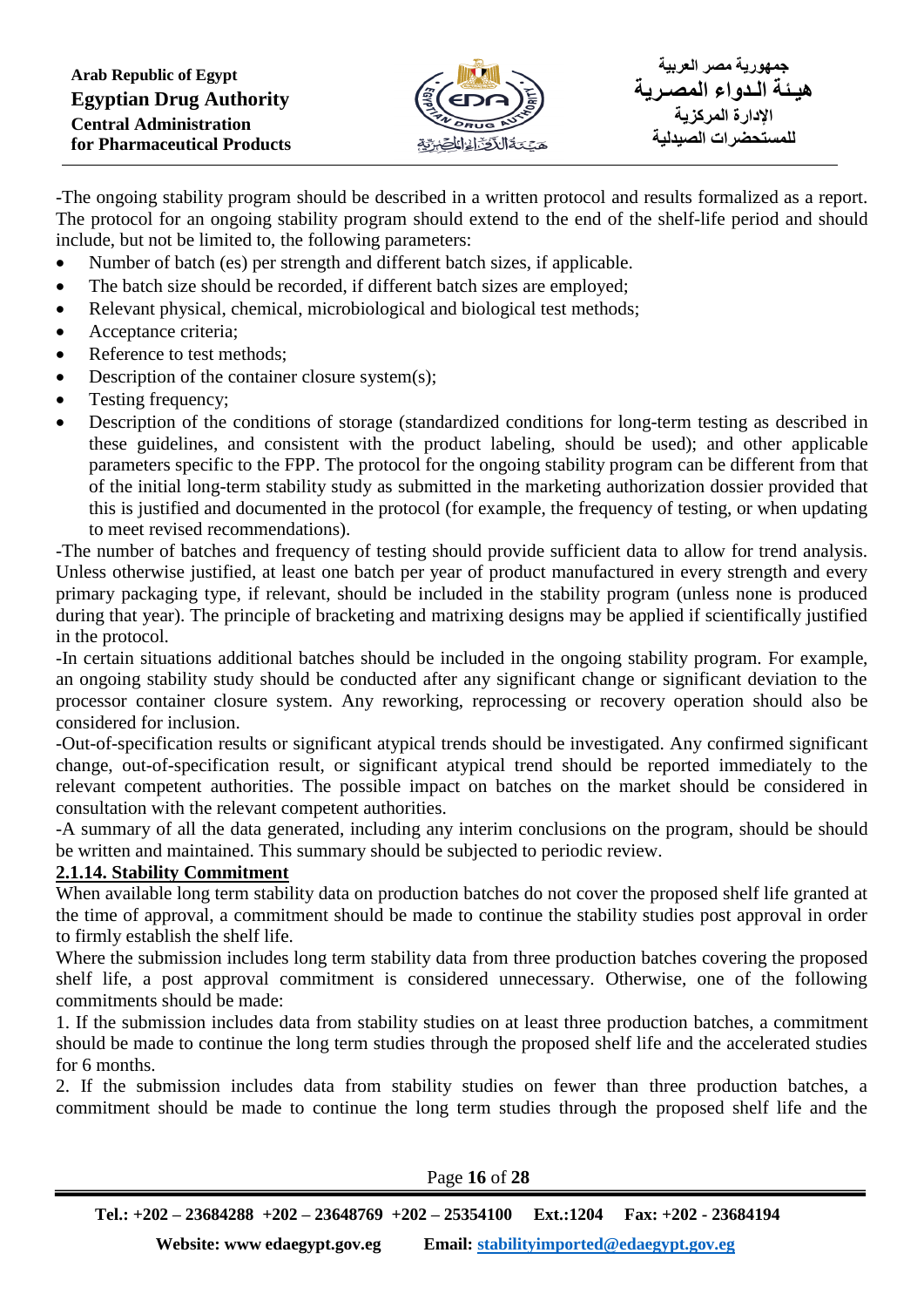

-The ongoing stability program should be described in a written protocol and results formalized as a report. The protocol for an ongoing stability program should extend to the end of the shelf-life period and should include, but not be limited to, the following parameters:

- Number of batch (es) per strength and different batch sizes, if applicable.
- The batch size should be recorded, if different batch sizes are employed;
- Relevant physical, chemical, microbiological and biological test methods;
- Acceptance criteria;
- Reference to test methods;
- Description of the container closure system(s);
- Testing frequency;
- Description of the conditions of storage (standardized conditions for long-term testing as described in these guidelines, and consistent with the product labeling, should be used); and other applicable parameters specific to the FPP. The protocol for the ongoing stability program can be different from that of the initial long-term stability study as submitted in the marketing authorization dossier provided that this is justified and documented in the protocol (for example, the frequency of testing, or when updating to meet revised recommendations).

-The number of batches and frequency of testing should provide sufficient data to allow for trend analysis. Unless otherwise justified, at least one batch per year of product manufactured in every strength and every primary packaging type, if relevant, should be included in the stability program (unless none is produced during that year). The principle of bracketing and matrixing designs may be applied if scientifically justified in the protocol.

-In certain situations additional batches should be included in the ongoing stability program. For example, an ongoing stability study should be conducted after any significant change or significant deviation to the processor container closure system. Any reworking, reprocessing or recovery operation should also be considered for inclusion.

-Out-of-specification results or significant atypical trends should be investigated. Any confirmed significant change, out-of-specification result, or significant atypical trend should be reported immediately to the relevant competent authorities. The possible impact on batches on the market should be considered in consultation with the relevant competent authorities.

-A summary of all the data generated, including any interim conclusions on the program, should be should be written and maintained. This summary should be subjected to periodic review.

#### **2.1.14. Stability Commitment**

When available long term stability data on production batches do not cover the proposed shelf life granted at the time of approval, a commitment should be made to continue the stability studies post approval in order to firmly establish the shelf life.

Where the submission includes long term stability data from three production batches covering the proposed shelf life, a post approval commitment is considered unnecessary. Otherwise, one of the following commitments should be made:

1. If the submission includes data from stability studies on at least three production batches, a commitment should be made to continue the long term studies through the proposed shelf life and the accelerated studies for 6 months.

2. If the submission includes data from stability studies on fewer than three production batches, a commitment should be made to continue the long term studies through the proposed shelf life and the

Page **16** of **28**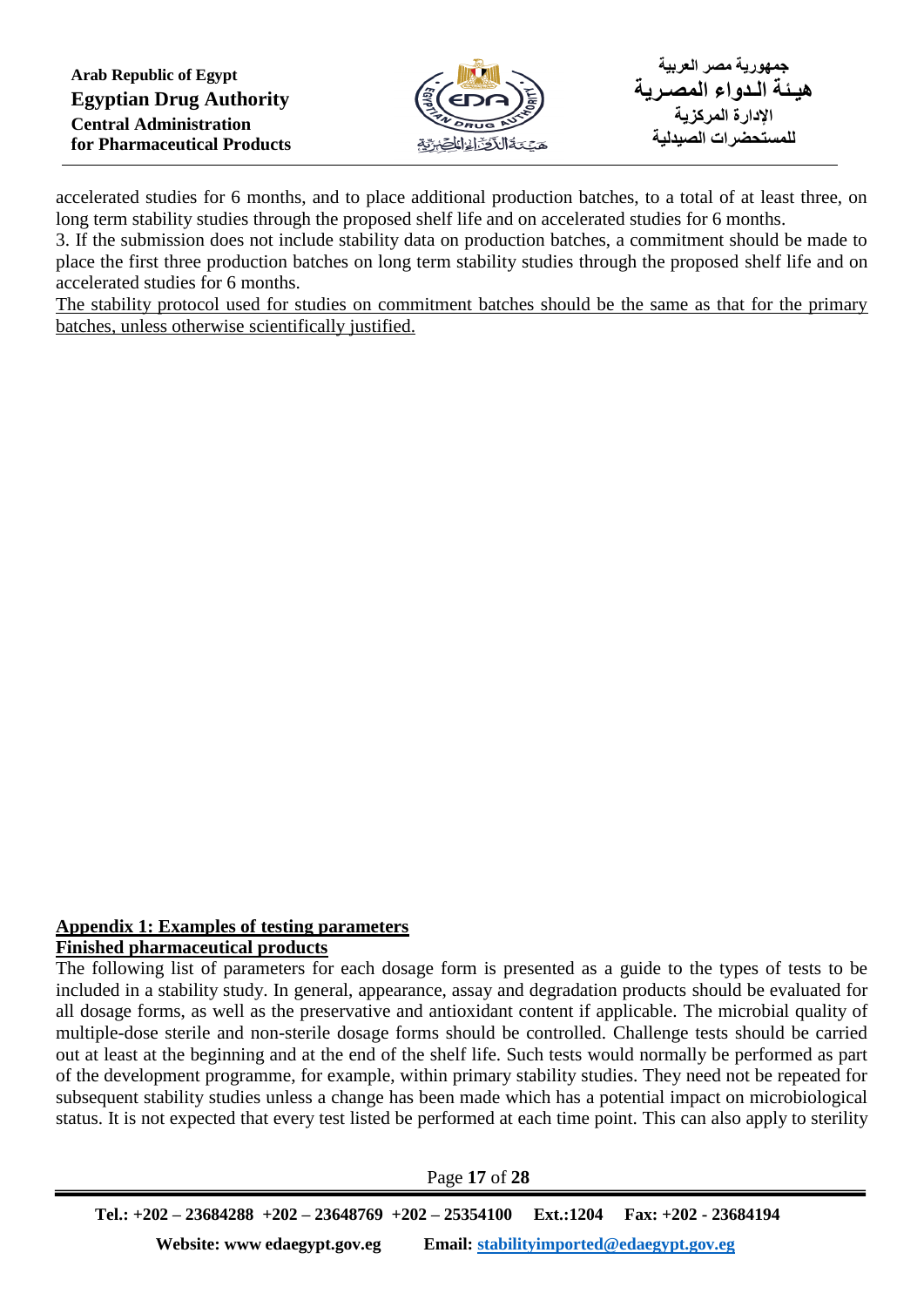

accelerated studies for 6 months, and to place additional production batches, to a total of at least three, on long term stability studies through the proposed shelf life and on accelerated studies for 6 months.

3. If the submission does not include stability data on production batches, a commitment should be made to place the first three production batches on long term stability studies through the proposed shelf life and on accelerated studies for 6 months.

The stability protocol used for studies on commitment batches should be the same as that for the primary batches, unless otherwise scientifically justified.

#### **Appendix 1: Examples of testing parameters Finished pharmaceutical products**

The following list of parameters for each dosage form is presented as a guide to the types of tests to be included in a stability study. In general, appearance, assay and degradation products should be evaluated for all dosage forms, as well as the preservative and antioxidant content if applicable. The microbial quality of multiple-dose sterile and non-sterile dosage forms should be controlled. Challenge tests should be carried out at least at the beginning and at the end of the shelf life. Such tests would normally be performed as part of the development programme, for example, within primary stability studies. They need not be repeated for subsequent stability studies unless a change has been made which has a potential impact on microbiological status. It is not expected that every test listed be performed at each time point. This can also apply to sterility

Page **17** of **28**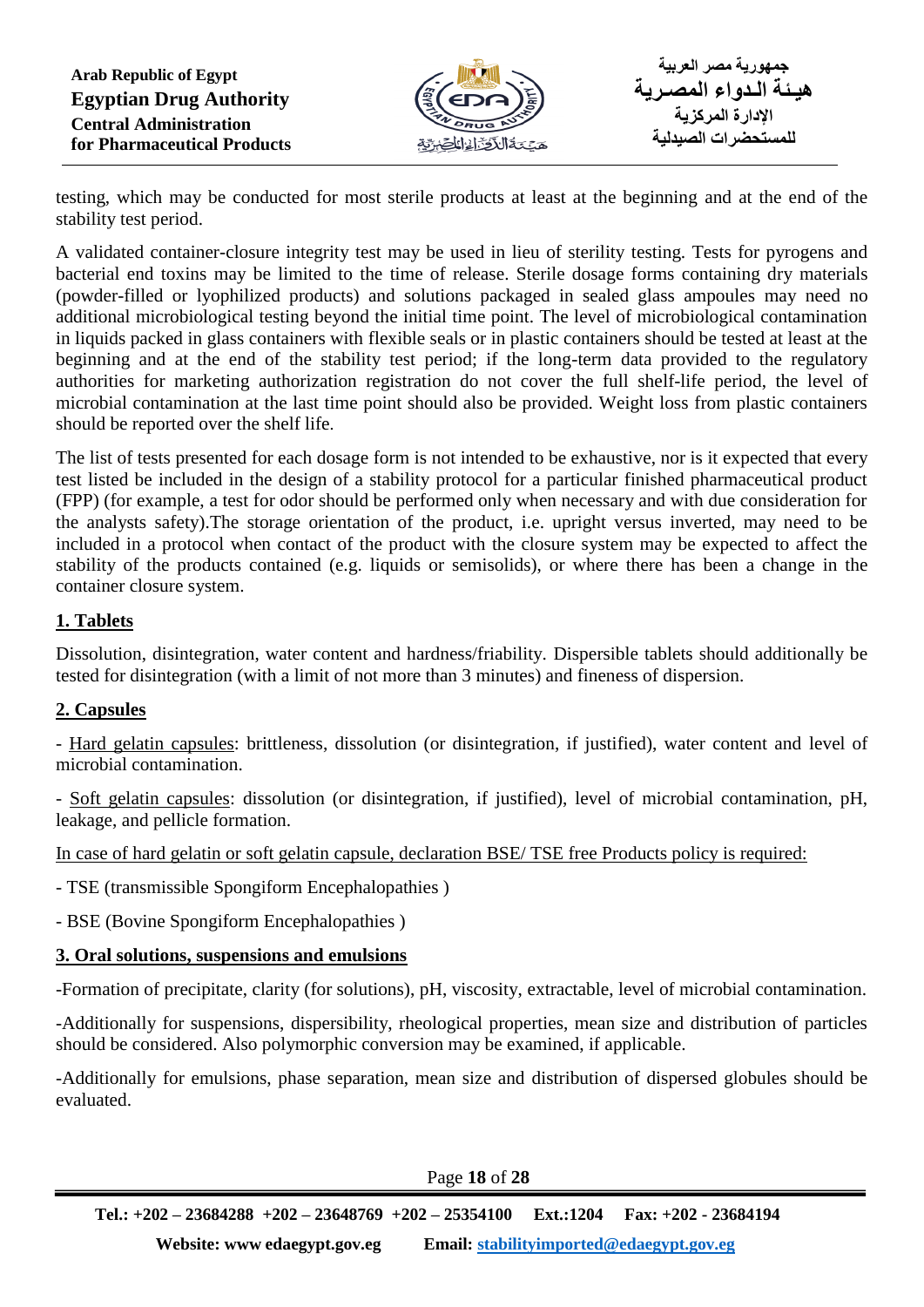

testing, which may be conducted for most sterile products at least at the beginning and at the end of the stability test period.

A validated container-closure integrity test may be used in lieu of sterility testing. Tests for pyrogens and bacterial end toxins may be limited to the time of release. Sterile dosage forms containing dry materials (powder-filled or lyophilized products) and solutions packaged in sealed glass ampoules may need no additional microbiological testing beyond the initial time point. The level of microbiological contamination in liquids packed in glass containers with flexible seals or in plastic containers should be tested at least at the beginning and at the end of the stability test period; if the long-term data provided to the regulatory authorities for marketing authorization registration do not cover the full shelf-life period, the level of microbial contamination at the last time point should also be provided. Weight loss from plastic containers should be reported over the shelf life.

The list of tests presented for each dosage form is not intended to be exhaustive, nor is it expected that every test listed be included in the design of a stability protocol for a particular finished pharmaceutical product (FPP) (for example, a test for odor should be performed only when necessary and with due consideration for the analysts safety).The storage orientation of the product, i.e. upright versus inverted, may need to be included in a protocol when contact of the product with the closure system may be expected to affect the stability of the products contained (e.g. liquids or semisolids), or where there has been a change in the container closure system.

# **1. Tablets**

Dissolution, disintegration, water content and hardness/friability. Dispersible tablets should additionally be tested for disintegration (with a limit of not more than 3 minutes) and fineness of dispersion.

# **2. Capsules**

- Hard gelatin capsules: brittleness, dissolution (or disintegration, if justified), water content and level of microbial contamination.

- Soft gelatin capsules: dissolution (or disintegration, if justified), level of microbial contamination, pH, leakage, and pellicle formation.

In case of hard gelatin or soft gelatin capsule, declaration BSE/ TSE free Products policy is required:

- TSE (transmissible Spongiform Encephalopathies )

- BSE (Bovine Spongiform Encephalopathies )

#### **3. Oral solutions, suspensions and emulsions**

-Formation of precipitate, clarity (for solutions), pH, viscosity, extractable, level of microbial contamination.

-Additionally for suspensions, dispersibility, rheological properties, mean size and distribution of particles should be considered. Also polymorphic conversion may be examined, if applicable.

-Additionally for emulsions, phase separation, mean size and distribution of dispersed globules should be evaluated.

Page **18** of **28**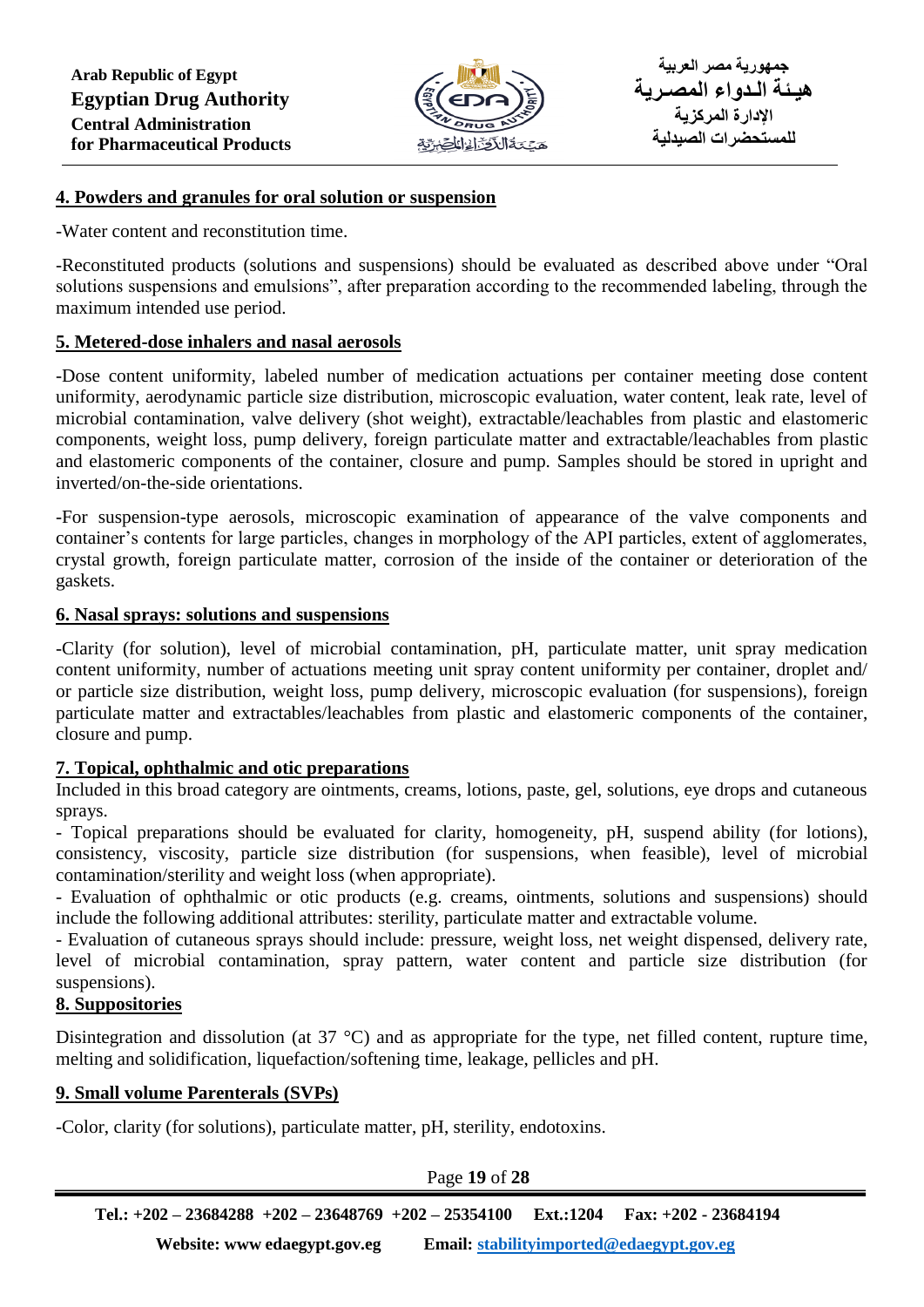

#### **4. Powders and granules for oral solution or suspension**

-Water content and reconstitution time.

-Reconstituted products (solutions and suspensions) should be evaluated as described above under "Oral solutions suspensions and emulsions", after preparation according to the recommended labeling, through the maximum intended use period.

#### **5. Metered-dose inhalers and nasal aerosols**

-Dose content uniformity, labeled number of medication actuations per container meeting dose content uniformity, aerodynamic particle size distribution, microscopic evaluation, water content, leak rate, level of microbial contamination, valve delivery (shot weight), extractable/leachables from plastic and elastomeric components, weight loss, pump delivery, foreign particulate matter and extractable/leachables from plastic and elastomeric components of the container, closure and pump. Samples should be stored in upright and inverted/on-the-side orientations.

-For suspension-type aerosols, microscopic examination of appearance of the valve components and container's contents for large particles, changes in morphology of the API particles, extent of agglomerates, crystal growth, foreign particulate matter, corrosion of the inside of the container or deterioration of the gaskets.

#### **6. Nasal sprays: solutions and suspensions**

-Clarity (for solution), level of microbial contamination, pH, particulate matter, unit spray medication content uniformity, number of actuations meeting unit spray content uniformity per container, droplet and/ or particle size distribution, weight loss, pump delivery, microscopic evaluation (for suspensions), foreign particulate matter and extractables/leachables from plastic and elastomeric components of the container, closure and pump.

#### **7. Topical, ophthalmic and otic preparations**

Included in this broad category are ointments, creams, lotions, paste, gel, solutions, eye drops and cutaneous sprays.

- Topical preparations should be evaluated for clarity, homogeneity, pH, suspend ability (for lotions), consistency, viscosity, particle size distribution (for suspensions, when feasible), level of microbial contamination/sterility and weight loss (when appropriate).

- Evaluation of ophthalmic or otic products (e.g. creams, ointments, solutions and suspensions) should include the following additional attributes: sterility, particulate matter and extractable volume.

- Evaluation of cutaneous sprays should include: pressure, weight loss, net weight dispensed, delivery rate, level of microbial contamination, spray pattern, water content and particle size distribution (for suspensions).

#### **8. Suppositories**

Disintegration and dissolution (at 37 °C) and as appropriate for the type, net filled content, rupture time, melting and solidification, liquefaction/softening time, leakage, pellicles and pH.

#### **9. Small volume Parenterals (SVPs)**

-Color, clarity (for solutions), particulate matter, pH, sterility, endotoxins.

Page **19** of **28**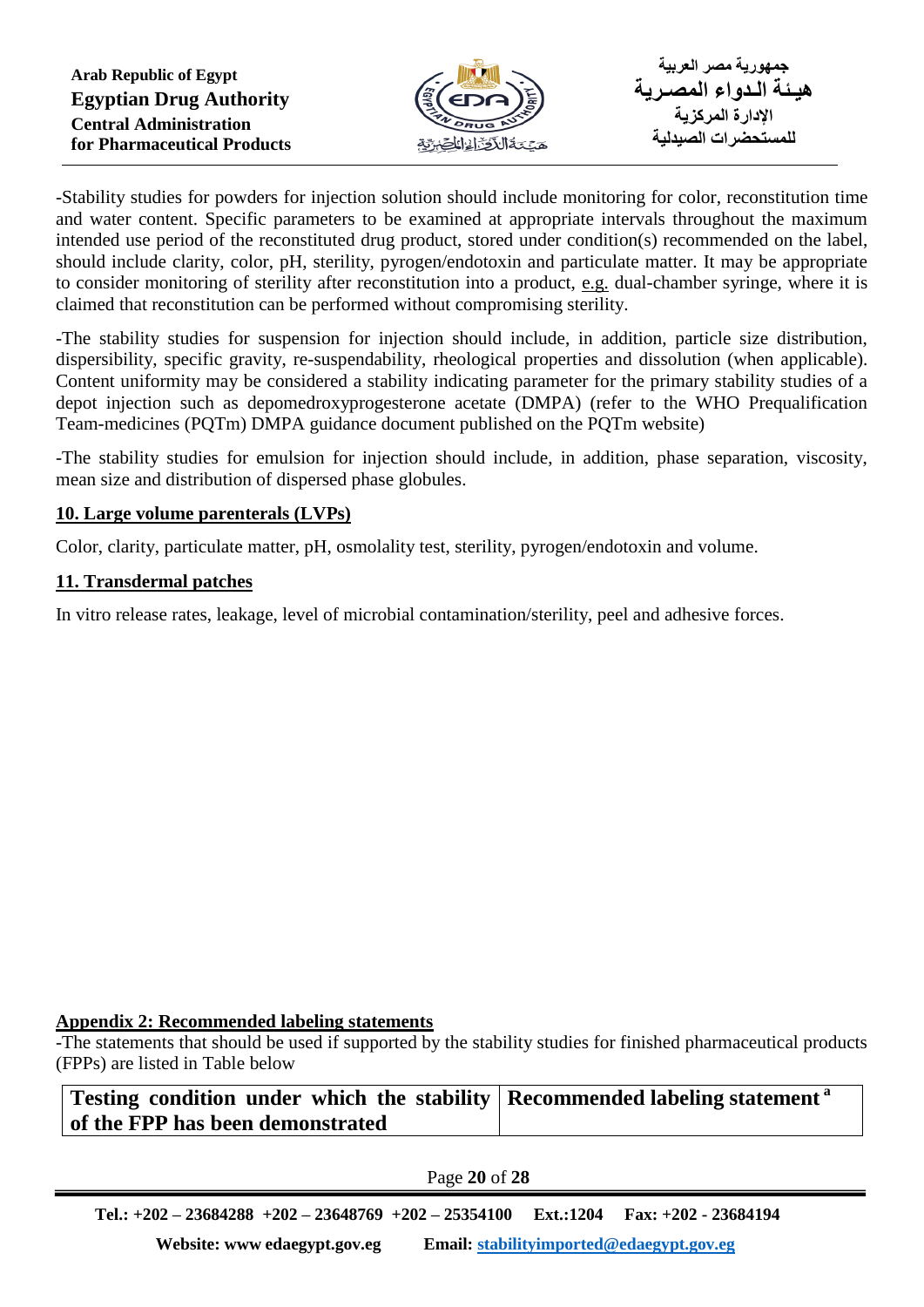

-Stability studies for powders for injection solution should include monitoring for color, reconstitution time and water content. Specific parameters to be examined at appropriate intervals throughout the maximum intended use period of the reconstituted drug product, stored under condition(s) recommended on the label, should include clarity, color, pH, sterility, pyrogen/endotoxin and particulate matter. It may be appropriate to consider monitoring of sterility after reconstitution into a product, e.g. dual-chamber syringe, where it is claimed that reconstitution can be performed without compromising sterility.

-The stability studies for suspension for injection should include, in addition, particle size distribution, dispersibility, specific gravity, re-suspendability, rheological properties and dissolution (when applicable). Content uniformity may be considered a stability indicating parameter for the primary stability studies of a depot injection such as depomedroxyprogesterone acetate (DMPA) (refer to the WHO Prequalification Team-medicines (PQTm) DMPA guidance document published on the PQTm website)

-The stability studies for emulsion for injection should include, in addition, phase separation, viscosity, mean size and distribution of dispersed phase globules.

## **10. Large volume parenterals (LVPs)**

Color, clarity, particulate matter, pH, osmolality test, sterility, pyrogen/endotoxin and volume.

## **11. Transdermal patches**

In vitro release rates, leakage, level of microbial contamination/sterility, peel and adhesive forces.

#### **Appendix 2: Recommended labeling statements**

-The statements that should be used if supported by the stability studies for finished pharmaceutical products (FPPs) are listed in Table below

#### **Testing condition under which the stability of the FPP has been demonstrated Recommended labeling statement <sup>a</sup>**

# Page **20** of **28**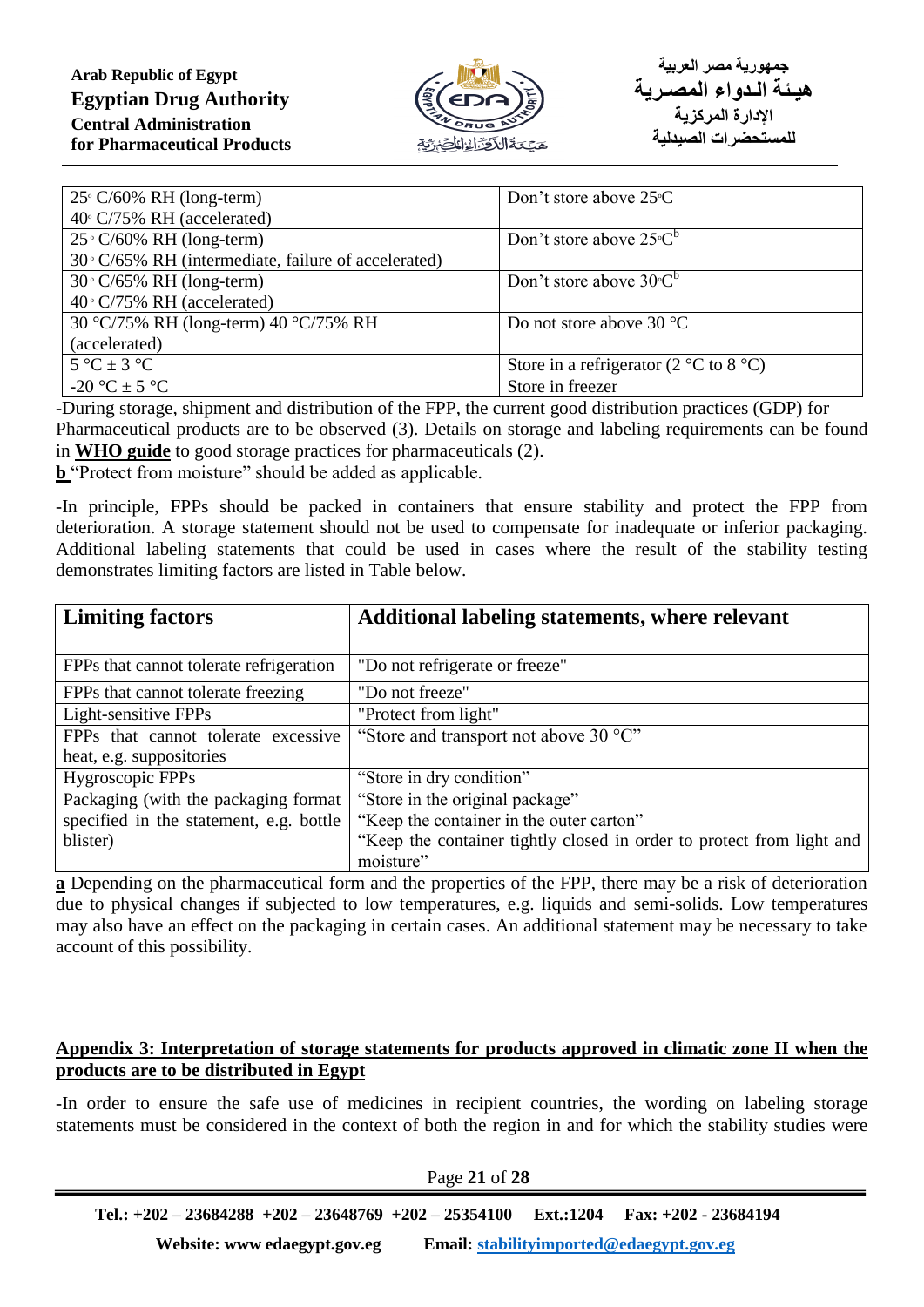

| $25^{\circ}$ C/60% RH (long-term)                   | Don't store above $25^{\circ}$ C                         |
|-----------------------------------------------------|----------------------------------------------------------|
| 40° C/75% RH (accelerated)                          |                                                          |
| $25^{\circ}$ C/60% RH (long-term)                   | Don't store above $25^{\circ}C^{b}$                      |
| 30° C/65% RH (intermediate, failure of accelerated) |                                                          |
| $30^{\circ}$ C/65% RH (long-term)                   | Don't store above $30^{\circ}C^{b}$                      |
| $40^{\circ}$ C/75% RH (accelerated)                 |                                                          |
| 30 °C/75% RH (long-term) 40 °C/75% RH               | Do not store above $30^{\circ}$ C                        |
| (accelerated)                                       |                                                          |
| $5^{\circ}C \pm 3^{\circ}C$                         | Store in a refrigerator (2 $\degree$ C to 8 $\degree$ C) |
| $-20$ °C $\pm$ 5 °C                                 | Store in freezer                                         |

-During storage, shipment and distribution of the FPP, the current good distribution practices (GDP) for Pharmaceutical products are to be observed (3). Details on storage and labeling requirements can be found in **WHO guide** to good storage practices for pharmaceuticals (2).

**b** "Protect from moisture" should be added as applicable.

-In principle, FPPs should be packed in containers that ensure stability and protect the FPP from deterioration. A storage statement should not be used to compensate for inadequate or inferior packaging. Additional labeling statements that could be used in cases where the result of the stability testing demonstrates limiting factors are listed in Table below.

| <b>Limiting factors</b>                 | Additional labeling statements, where relevant                        |  |
|-----------------------------------------|-----------------------------------------------------------------------|--|
|                                         |                                                                       |  |
| FPPs that cannot tolerate refrigeration | "Do not refrigerate or freeze"                                        |  |
| FPPs that cannot tolerate freezing      | "Do not freeze"                                                       |  |
| Light-sensitive FPPs                    | "Protect from light"                                                  |  |
| FPPs that cannot tolerate excessive     | "Store and transport not above 30 °C"                                 |  |
| heat, e.g. suppositories                |                                                                       |  |
| Hygroscopic FPPs                        | "Store in dry condition"                                              |  |
| Packaging (with the packaging format    | "Store in the original package"                                       |  |
| specified in the statement, e.g. bottle | "Keep the container in the outer carton"                              |  |
| blister)                                | "Keep the container tightly closed in order to protect from light and |  |
|                                         | moisture"                                                             |  |

**a** Depending on the pharmaceutical form and the properties of the FPP, there may be a risk of deterioration due to physical changes if subjected to low temperatures, e.g. liquids and semi-solids. Low temperatures may also have an effect on the packaging in certain cases. An additional statement may be necessary to take account of this possibility.

#### **Appendix 3: Interpretation of storage statements for products approved in climatic zone II when the products are to be distributed in Egypt**

-In order to ensure the safe use of medicines in recipient countries, the wording on labeling storage statements must be considered in the context of both the region in and for which the stability studies were

Page **21** of **28**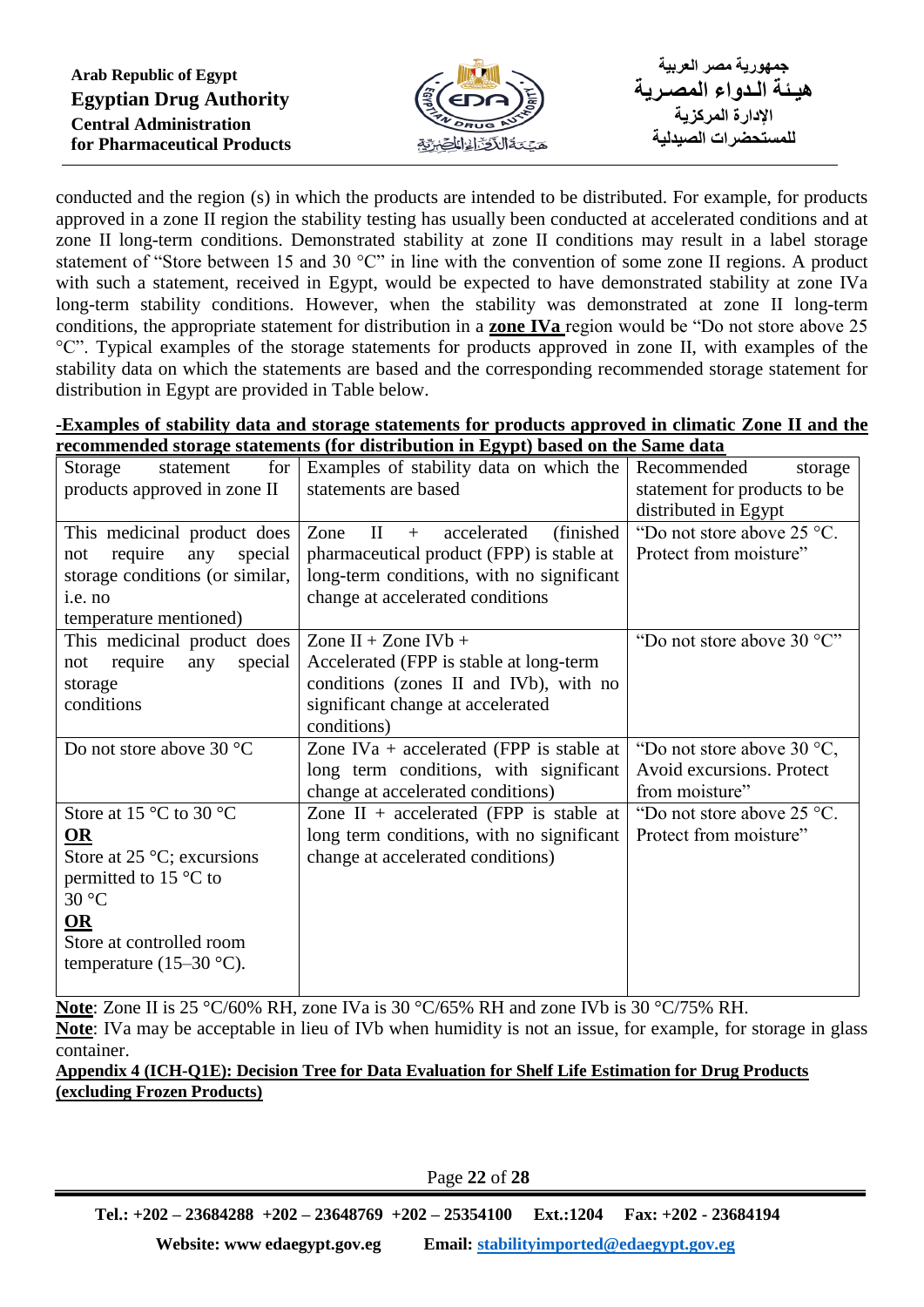

conducted and the region (s) in which the products are intended to be distributed. For example, for products approved in a zone II region the stability testing has usually been conducted at accelerated conditions and at zone II long-term conditions. Demonstrated stability at zone II conditions may result in a label storage statement of "Store between 15 and 30 °C" in line with the convention of some zone II regions. A product with such a statement, received in Egypt, would be expected to have demonstrated stability at zone IVa long-term stability conditions. However, when the stability was demonstrated at zone II long-term conditions, the appropriate statement for distribution in a **zone IVa** region would be "Do not store above 25 °C". Typical examples of the storage statements for products approved in zone II, with examples of the stability data on which the statements are based and the corresponding recommended storage statement for distribution in Egypt are provided in Table below.

| -Examples of stability data and storage statements for products approved in climatic Zone II and the |  |  |
|------------------------------------------------------------------------------------------------------|--|--|
| recommended storage statements (for distribution in Egypt) based on the Same data                    |  |  |

|                                           | commented storage statements (for ustribution in Egypt) based on the sume unto |                                      |
|-------------------------------------------|--------------------------------------------------------------------------------|--------------------------------------|
| for<br>Storage<br>statement               | Examples of stability data on which the                                        | Recommended<br>storage               |
| products approved in zone II              | statements are based                                                           | statement for products to be         |
|                                           |                                                                                | distributed in Egypt                 |
| This medicinal product does               | (finished)<br>accelerated<br>Zone<br>$\mathbf{H}$<br>$+$                       | "Do not store above $25 \degree C$ . |
| require<br>any<br>special<br>not          | pharmaceutical product (FPP) is stable at                                      | Protect from moisture"               |
| storage conditions (or similar,           | long-term conditions, with no significant                                      |                                      |
| i.e. no                                   | change at accelerated conditions                                               |                                      |
| temperature mentioned)                    |                                                                                |                                      |
| This medicinal product does               | Zone II + Zone IV $b$ +                                                        | "Do not store above $30^{\circ}$ C"  |
| require<br>any<br>special<br>not          | Accelerated (FPP is stable at long-term                                        |                                      |
| storage                                   | conditions (zones II and IVb), with no                                         |                                      |
| conditions                                | significant change at accelerated                                              |                                      |
|                                           | conditions)                                                                    |                                      |
| Do not store above 30 °C                  | Zone IVa + accelerated (FPP is stable at                                       | "Do not store above $30^{\circ}$ C,  |
|                                           | long term conditions, with significant                                         | Avoid excursions. Protect            |
|                                           | change at accelerated conditions)                                              | from moisture"                       |
| Store at 15 $\degree$ C to 30 $\degree$ C | Zone II + accelerated (FPP is stable at                                        | "Do not store above 25 °C.           |
| OR                                        | long term conditions, with no significant                                      | Protect from moisture"               |
| Store at 25 $\degree$ C; excursions       | change at accelerated conditions)                                              |                                      |
| permitted to 15 $\degree$ C to            |                                                                                |                                      |
| 30 °C                                     |                                                                                |                                      |
| OR                                        |                                                                                |                                      |
| Store at controlled room                  |                                                                                |                                      |
| temperature $(15-30 \degree C)$ .         |                                                                                |                                      |
|                                           |                                                                                |                                      |

**Note**: Zone II is 25 °C/60% RH, zone IVa is 30 °C/65% RH and zone IVb is 30 °C/75% RH. **Note**: IVa may be acceptable in lieu of IVb when humidity is not an issue, for example, for storage in glass container.

**Appendix 4 (ICH-Q1E): Decision Tree for Data Evaluation for Shelf Life Estimation for Drug Products (excluding Frozen Products)**

Page **22** of **28**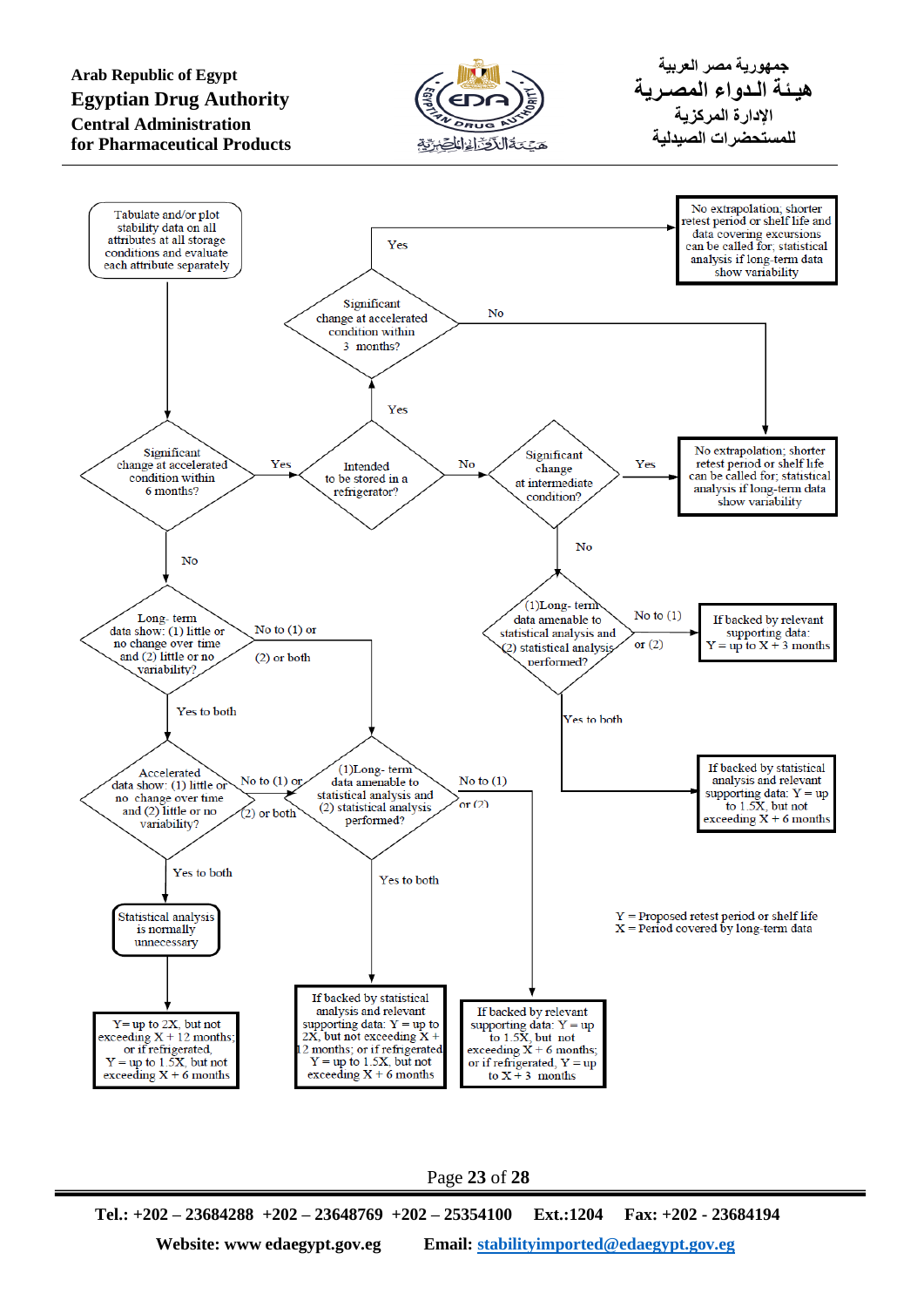**Arab Republic of Egypt Egyptian Drug Authority Central Administration for Pharmaceutical Products**



**جمهورية مصر العربية هيـئة الـدواء المصـرية اإلدارة المركزية للمستحضرات الصيدلية**



Page **23** of **28**

**Tel.: +202 – 23684288 +202 – 23648769 +202 – 25354100 Ext.:1204 Fax: +202 - 23684194 Website: www edaegypt.gov.eg Email: [stabilityimported@edaegypt.gov.eg](mailto:stabilityimported@edaegypt.gov.eg)**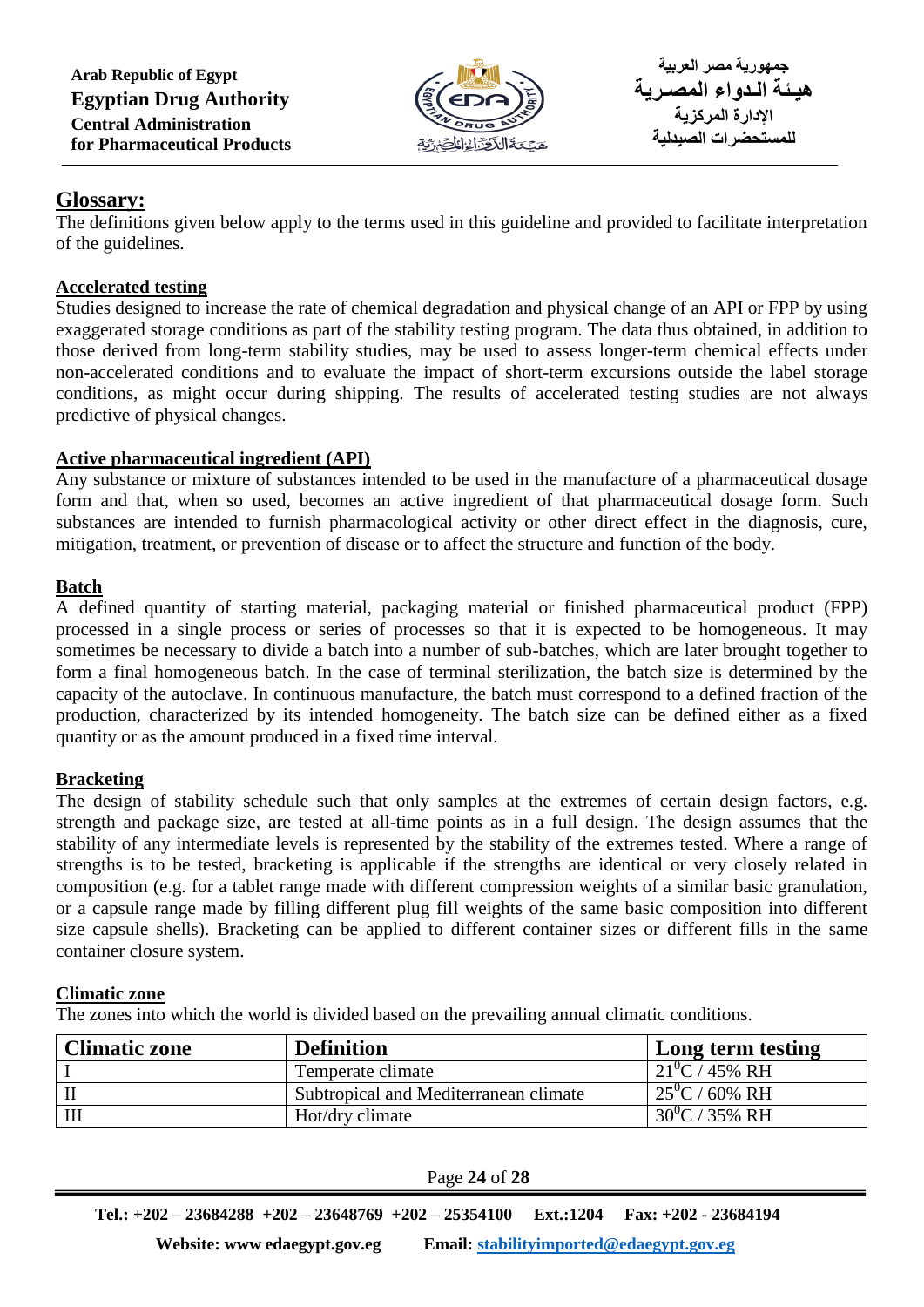**Arab Republic of Egypt Egyptian Drug Authority Central Administration for Pharmaceutical Products**



# **Glossary:**

The definitions given below apply to the terms used in this guideline and provided to facilitate interpretation of the guidelines.

## **Accelerated testing**

Studies designed to increase the rate of chemical degradation and physical change of an API or FPP by using exaggerated storage conditions as part of the stability testing program. The data thus obtained, in addition to those derived from long-term stability studies, may be used to assess longer-term chemical effects under non-accelerated conditions and to evaluate the impact of short-term excursions outside the label storage conditions, as might occur during shipping. The results of accelerated testing studies are not always predictive of physical changes.

# **Active pharmaceutical ingredient (API)**

Any substance or mixture of substances intended to be used in the manufacture of a pharmaceutical dosage form and that, when so used, becomes an active ingredient of that pharmaceutical dosage form. Such substances are intended to furnish pharmacological activity or other direct effect in the diagnosis, cure, mitigation, treatment, or prevention of disease or to affect the structure and function of the body.

# **Batch**

A defined quantity of starting material, packaging material or finished pharmaceutical product (FPP) processed in a single process or series of processes so that it is expected to be homogeneous. It may sometimes be necessary to divide a batch into a number of sub-batches, which are later brought together to form a final homogeneous batch. In the case of terminal sterilization, the batch size is determined by the capacity of the autoclave. In continuous manufacture, the batch must correspond to a defined fraction of the production, characterized by its intended homogeneity. The batch size can be defined either as a fixed quantity or as the amount produced in a fixed time interval.

# **Bracketing**

The design of stability schedule such that only samples at the extremes of certain design factors, e.g. strength and package size, are tested at all-time points as in a full design. The design assumes that the stability of any intermediate levels is represented by the stability of the extremes tested. Where a range of strengths is to be tested, bracketing is applicable if the strengths are identical or very closely related in composition (e.g. for a tablet range made with different compression weights of a similar basic granulation, or a capsule range made by filling different plug fill weights of the same basic composition into different size capsule shells). Bracketing can be applied to different container sizes or different fills in the same container closure system.

# **Climatic zone**

The zones into which the world is divided based on the prevailing annual climatic conditions.

| <b>Climatic zone</b> | <b>Definition</b>                     | Long term testing       |
|----------------------|---------------------------------------|-------------------------|
|                      | Temperate climate                     | $21^{0}$ C / 45% RH     |
|                      | Subtropical and Mediterranean climate | $25^{\circ}$ C / 60% RH |
|                      | Hot/dry climate                       | $30^0$ C / 35% RH       |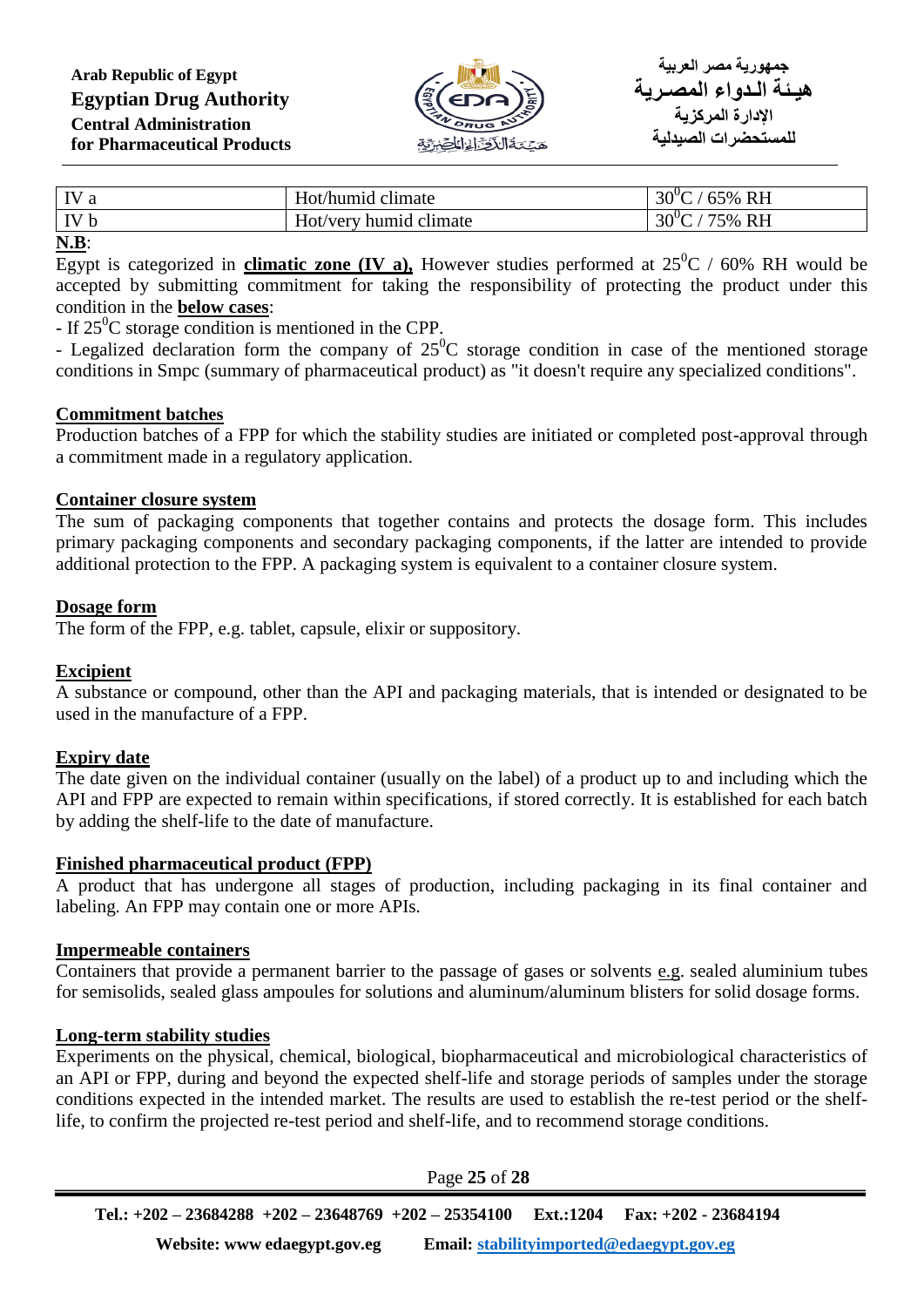

| $\mathbf{I}$<br>IV b | Hot/humid climate<br>humid climate<br>Hot/very | <b>RH</b><br>$30^{\circ}$<br>$5\%$ .<br>R <sub>H</sub><br>$30^{\circ}$<br>$5\%$ |
|----------------------|------------------------------------------------|---------------------------------------------------------------------------------|
| ---                  |                                                |                                                                                 |

**N.B**:

Egypt is categorized in **climatic zone (IV a)**, However studies performed at  $25^{\circ}$ C / 60% RH would be accepted by submitting commitment for taking the responsibility of protecting the product under this condition in the **below cases**:

- If  $25^0C$  storage condition is mentioned in the CPP.

- Legalized declaration form the company of  $25^{\circ}$ C storage condition in case of the mentioned storage conditions in Smpc (summary of pharmaceutical product) as "it doesn't require any specialized conditions".

#### **Commitment batches**

Production batches of a FPP for which the stability studies are initiated or completed post-approval through a commitment made in a regulatory application.

#### **Container closure system**

The sum of packaging components that together contains and protects the dosage form. This includes primary packaging components and secondary packaging components, if the latter are intended to provide additional protection to the FPP. A packaging system is equivalent to a container closure system.

#### **Dosage form**

The form of the FPP, e.g. tablet, capsule, elixir or suppository.

#### **Excipient**

A substance or compound, other than the API and packaging materials, that is intended or designated to be used in the manufacture of a FPP.

#### **Expiry date**

The date given on the individual container (usually on the label) of a product up to and including which the API and FPP are expected to remain within specifications, if stored correctly. It is established for each batch by adding the shelf-life to the date of manufacture.

#### **Finished pharmaceutical product (FPP)**

A product that has undergone all stages of production, including packaging in its final container and labeling. An FPP may contain one or more APIs.

#### **Impermeable containers**

Containers that provide a permanent barrier to the passage of gases or solvents e.g. sealed aluminium tubes for semisolids, sealed glass ampoules for solutions and aluminum/aluminum blisters for solid dosage forms.

#### **Long-term stability studies**

Experiments on the physical, chemical, biological, biopharmaceutical and microbiological characteristics of an API or FPP, during and beyond the expected shelf-life and storage periods of samples under the storage conditions expected in the intended market. The results are used to establish the re-test period or the shelflife, to confirm the projected re-test period and shelf-life, and to recommend storage conditions.

Page **25** of **28 Tel.: +202 – 23684288 +202 – 23648769 +202 – 25354100 Ext.:1204 Fax: +202 - 23684194 Website: www edaegypt.gov.eg Email: [stabilityimported@edaegypt.gov.eg](mailto:stabilityimported@edaegypt.gov.eg)**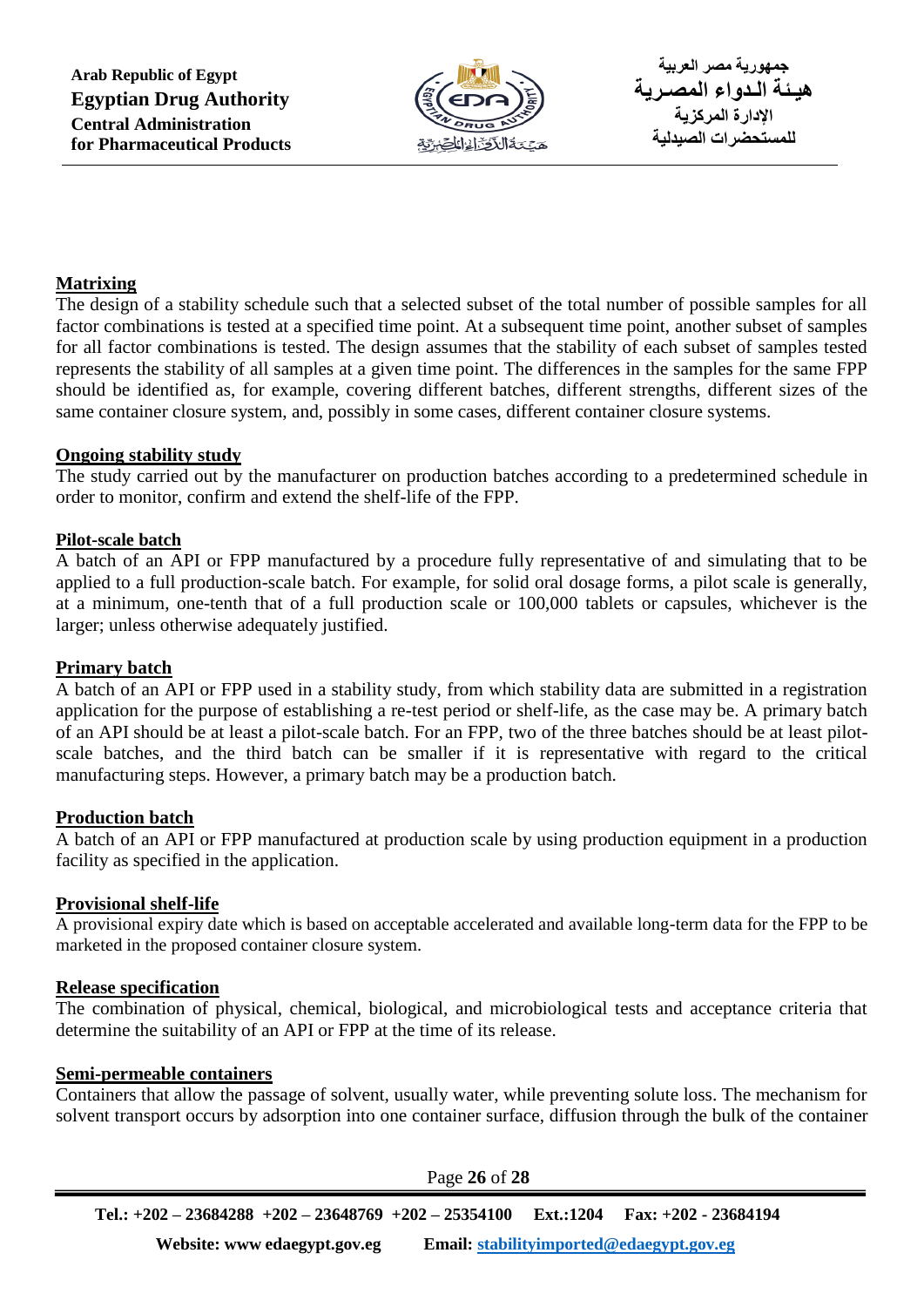

#### **Matrixing**

The design of a stability schedule such that a selected subset of the total number of possible samples for all factor combinations is tested at a specified time point. At a subsequent time point, another subset of samples for all factor combinations is tested. The design assumes that the stability of each subset of samples tested represents the stability of all samples at a given time point. The differences in the samples for the same FPP should be identified as, for example, covering different batches, different strengths, different sizes of the same container closure system, and, possibly in some cases, different container closure systems.

#### **Ongoing stability study**

The study carried out by the manufacturer on production batches according to a predetermined schedule in order to monitor, confirm and extend the shelf-life of the FPP.

#### **Pilot-scale batch**

A batch of an API or FPP manufactured by a procedure fully representative of and simulating that to be applied to a full production-scale batch. For example, for solid oral dosage forms, a pilot scale is generally, at a minimum, one-tenth that of a full production scale or 100,000 tablets or capsules, whichever is the larger; unless otherwise adequately justified.

#### **Primary batch**

A batch of an API or FPP used in a stability study, from which stability data are submitted in a registration application for the purpose of establishing a re-test period or shelf-life, as the case may be. A primary batch of an API should be at least a pilot-scale batch. For an FPP, two of the three batches should be at least pilotscale batches, and the third batch can be smaller if it is representative with regard to the critical manufacturing steps. However, a primary batch may be a production batch.

#### **Production batch**

A batch of an API or FPP manufactured at production scale by using production equipment in a production facility as specified in the application.

#### **Provisional shelf-life**

A provisional expiry date which is based on acceptable accelerated and available long-term data for the FPP to be marketed in the proposed container closure system.

#### **Release specification**

The combination of physical, chemical, biological, and microbiological tests and acceptance criteria that determine the suitability of an API or FPP at the time of its release.

#### **Semi-permeable containers**

Containers that allow the passage of solvent, usually water, while preventing solute loss. The mechanism for solvent transport occurs by adsorption into one container surface, diffusion through the bulk of the container

Page **26** of **28 Tel.: +202 – 23684288 +202 – 23648769 +202 – 25354100 Ext.:1204 Fax: +202 - 23684194 Website: www edaegypt.gov.eg Email: [stabilityimported@edaegypt.gov.eg](mailto:stabilityimported@edaegypt.gov.eg)**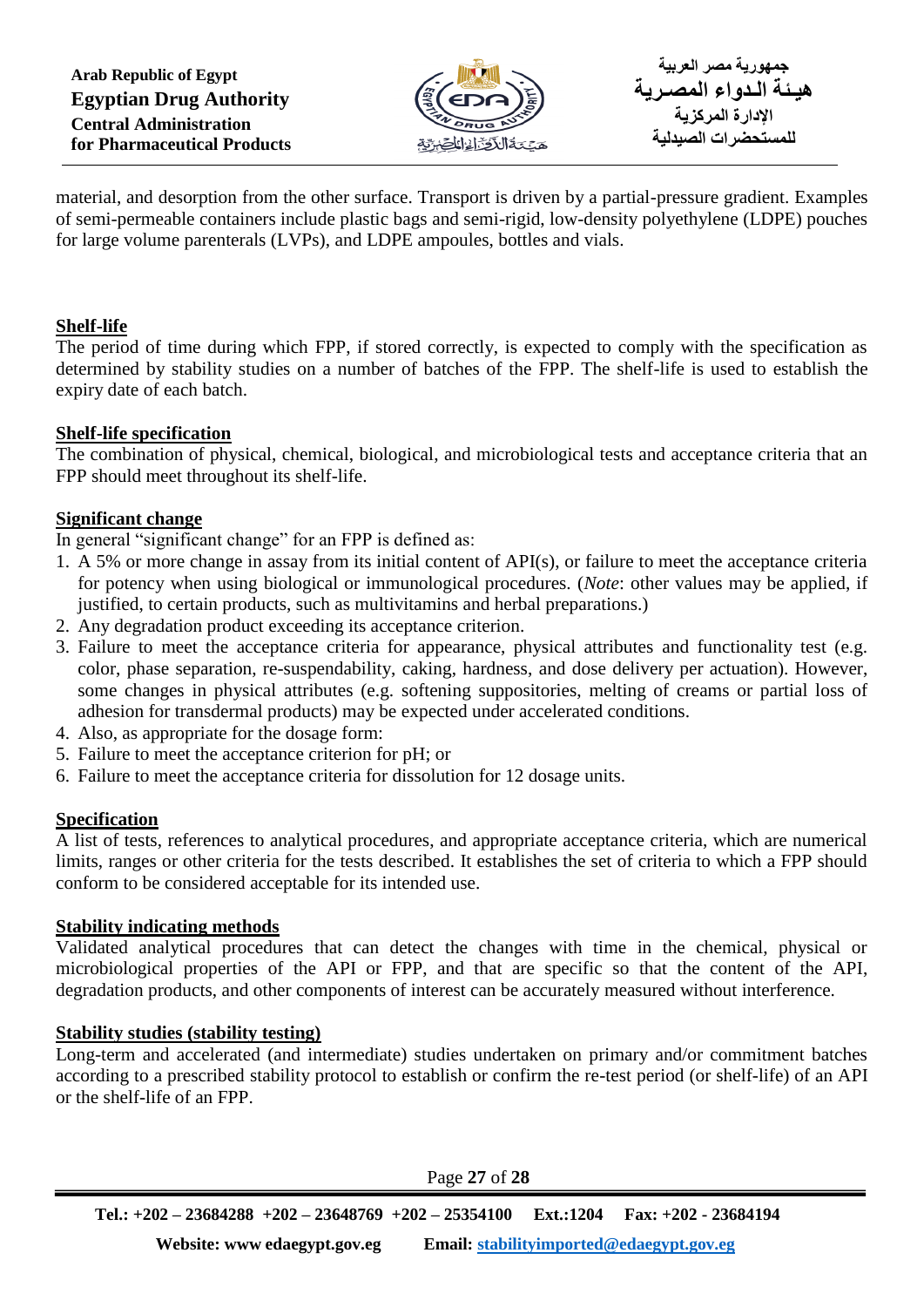

material, and desorption from the other surface. Transport is driven by a partial-pressure gradient. Examples of semi-permeable containers include plastic bags and semi-rigid, low-density polyethylene (LDPE) pouches for large volume parenterals (LVPs), and LDPE ampoules, bottles and vials.

## **Shelf-life**

The period of time during which FPP, if stored correctly, is expected to comply with the specification as determined by stability studies on a number of batches of the FPP. The shelf-life is used to establish the expiry date of each batch.

#### **Shelf-life specification**

The combination of physical, chemical, biological, and microbiological tests and acceptance criteria that an FPP should meet throughout its shelf-life.

## **Significant change**

In general "significant change" for an FPP is defined as:

- 1. A 5% or more change in assay from its initial content of API(s), or failure to meet the acceptance criteria for potency when using biological or immunological procedures. (*Note*: other values may be applied, if justified, to certain products, such as multivitamins and herbal preparations.)
- 2. Any degradation product exceeding its acceptance criterion.
- 3. Failure to meet the acceptance criteria for appearance, physical attributes and functionality test (e.g. color, phase separation, re-suspendability, caking, hardness, and dose delivery per actuation). However, some changes in physical attributes (e.g. softening suppositories, melting of creams or partial loss of adhesion for transdermal products) may be expected under accelerated conditions.
- 4. Also, as appropriate for the dosage form:
- 5. Failure to meet the acceptance criterion for pH; or
- 6. Failure to meet the acceptance criteria for dissolution for 12 dosage units.

# **Specification**

A list of tests, references to analytical procedures, and appropriate acceptance criteria, which are numerical limits, ranges or other criteria for the tests described. It establishes the set of criteria to which a FPP should conform to be considered acceptable for its intended use.

#### **Stability indicating methods**

Validated analytical procedures that can detect the changes with time in the chemical, physical or microbiological properties of the API or FPP, and that are specific so that the content of the API, degradation products, and other components of interest can be accurately measured without interference.

#### **Stability studies (stability testing)**

Long-term and accelerated (and intermediate) studies undertaken on primary and/or commitment batches according to a prescribed stability protocol to establish or confirm the re-test period (or shelf-life) of an API or the shelf-life of an FPP.

Page **27** of **28**